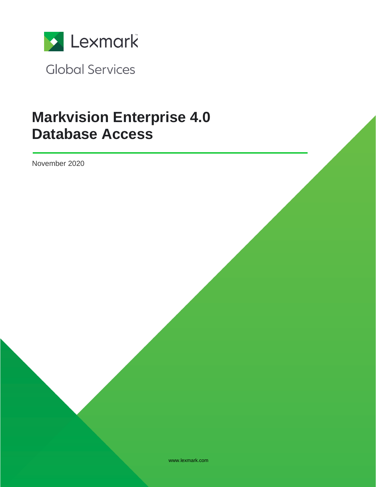

**Global Services** 

# **Markvision Enterprise 4.0 Database Access**

November 2020

www.lexmark.com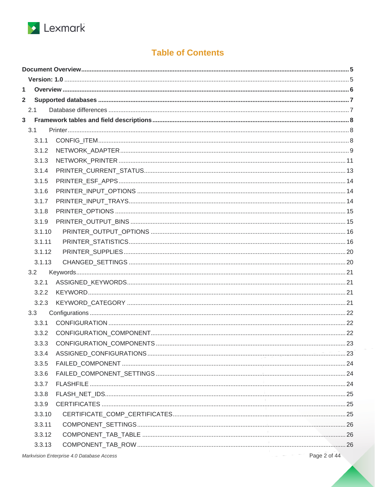

## **Table of Contents**

| 1              |        |  |
|----------------|--------|--|
| $\overline{2}$ |        |  |
|                | 2.1    |  |
| 3 <sup>1</sup> |        |  |
|                | 3.1    |  |
|                | 3.1.1  |  |
|                | 3.1.2  |  |
|                | 3.1.3  |  |
|                | 3.1.4  |  |
|                | 3.1.5  |  |
|                | 3.1.6  |  |
|                | 3.1.7  |  |
|                | 3.1.8  |  |
|                | 3.1.9  |  |
|                | 3.1.10 |  |
|                | 3.1.11 |  |
|                | 3.1.12 |  |
|                | 3.1.13 |  |
|                | 3.2    |  |
|                | 3.2.1  |  |
|                | 3.2.2  |  |
|                | 3.2.3  |  |
|                | 3.3    |  |
|                | 3.3.1  |  |
|                | 3.3.2  |  |
|                |        |  |
|                | 3.3.4  |  |
|                | 3.3.5  |  |
|                | 3.3.6  |  |
|                | 3.3.7  |  |
|                | 3.3.8  |  |
|                | 3.3.9  |  |
|                | 3.3.10 |  |
|                | 3.3.11 |  |
|                | 3.3.12 |  |
|                | 3.3.13 |  |
|                |        |  |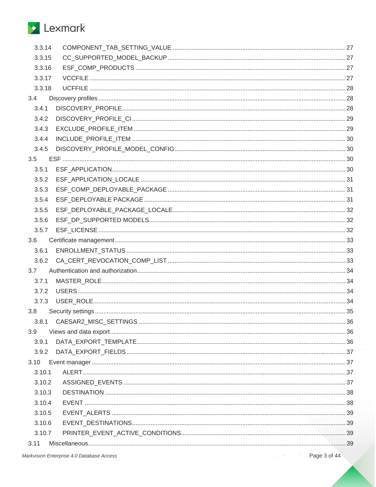# Lexmark

| 3.3.14 |  |
|--------|--|
| 3.3.15 |  |
| 3.3.16 |  |
| 3.3.17 |  |
| 3.3.18 |  |
| 3.4    |  |
| 3.4.1  |  |
| 3.4.2  |  |
| 3.4.3  |  |
| 3.4.4  |  |
| 3.4.5  |  |
| 3.5    |  |
| 3.5.1  |  |
| 3.5.2  |  |
| 3.5.3  |  |
| 3.5.4  |  |
| 3.5.5  |  |
| 3.5.6  |  |
| 3.5.7  |  |
| 3.6    |  |
| 3.6.1  |  |
| 3.6.2  |  |
| 3.7    |  |
| 3.7.1  |  |
| 3.7.2  |  |
| 3.7.3  |  |
| 3.8    |  |
| 3.8.1  |  |
| 3.9    |  |
| 3.9.1  |  |
| 3.9.2  |  |
|        |  |
| 3.10.1 |  |
| 3.10.2 |  |
| 3.10.3 |  |
| 3.10.4 |  |
| 3.10.5 |  |
| 3.10.6 |  |
| 3.10.7 |  |
| 3.11   |  |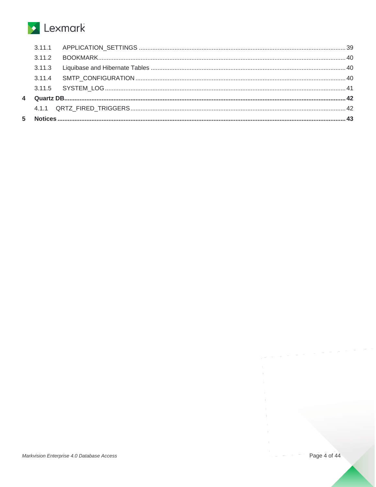# Lexmark

| 5 |  |  |
|---|--|--|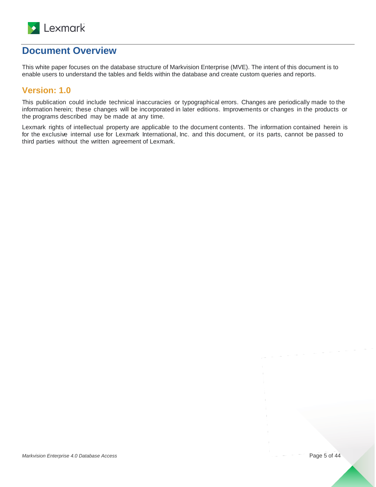

## <span id="page-4-0"></span>**Document Overview**

This white paper focuses on the database structure of Markvision Enterprise (MVE). The intent of this document is to enable users to understand the tables and fields within the database and create custom queries and reports.

## <span id="page-4-1"></span>**Version: 1.0**

This publication could include technical inaccuracies or typographical errors. Changes are periodically made to the information herein; these changes will be incorporated in later editions. Improvements or changes in the products or the programs described may be made at any time.

Lexmark rights of intellectual property are applicable to the document contents. The information contained herein is for the exclusive internal use for Lexmark International, Inc. and this document, or its parts, cannot be passed to third parties without the written agreement of Lexmark.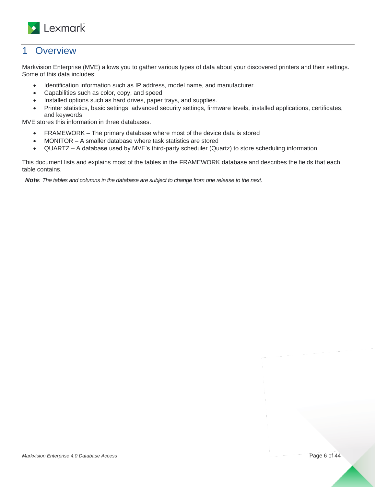

## <span id="page-5-0"></span>1 Overview

Markvision Enterprise (MVE) allows you to gather various types of data about your discovered printers and their settings. Some of this data includes:

- Identification information such as IP address, model name, and manufacturer.
- Capabilities such as color, copy, and speed
- Installed options such as hard drives, paper trays, and supplies.
- Printer statistics, basic settings, advanced security settings, firmware levels, installed applications, certificates, and keywords

MVE stores this information in three databases.

- FRAMEWORK The primary database where most of the device data is stored
- MONITOR A smaller database where task statistics are stored
- QUARTZ A database used by MVE's third-party scheduler (Quartz) to store scheduling information

This document lists and explains most of the tables in the FRAMEWORK database and describes the fields that each table contains.

*Note: The tables and columns in the database are subject to change from one release to the next.*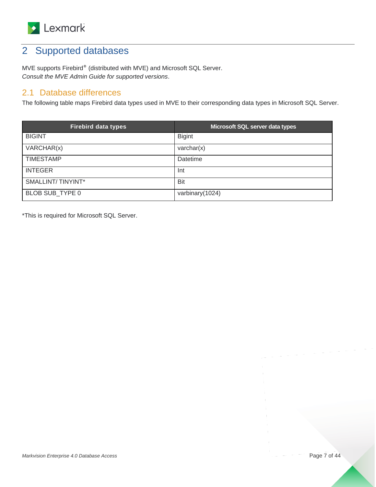

## <span id="page-6-0"></span>2 Supported databases

MVE supports Firebird® (distributed with MVE) and Microsoft SQL Server. *Consult the MVE Admin Guide for supported versions*.

## <span id="page-6-1"></span>2.1 Database differences

The following table maps Firebird data types used in MVE to their corresponding data types in Microsoft SQL Server.

| <b>Firebird data types</b> | Microsoft SQL server data types |
|----------------------------|---------------------------------|
| <b>BIGINT</b>              | <b>Bigint</b>                   |
| VARCHAR(x)                 | $\text{varchar}(x)$             |
| <b>TIMESTAMP</b>           | Datetime                        |
| <b>INTEGER</b>             | Int                             |
| SMALLINT/TINYINT*          | Bit                             |
| BLOB SUB TYPE 0            | varbinary(1024)                 |

\*This is required for Microsoft SQL Server.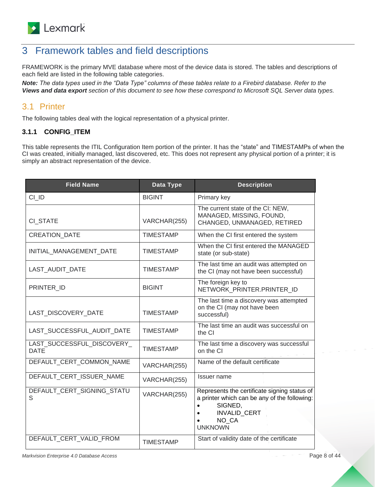

## <span id="page-7-0"></span>3 Framework tables and field descriptions

FRAMEWORK is the primary MVE database where most of the device data is stored. The tables and descriptions of each field are listed in the following table categories.

*Note: The data types used in the "Data Type" columns of these tables relate to a Firebird database. Refer to the [Views and data export](#page-35-1) section of this document to see how these correspond to Microsoft SQL Server data types.*

## <span id="page-7-1"></span>3.1 Printer

The following tables deal with the logical representation of a physical printer.

#### <span id="page-7-2"></span>**3.1.1 CONFIG\_ITEM**

This table represents the ITIL Configuration Item portion of the printer. It has the "state" and TIMESTAMPs of when the CI was created, initially managed, last discovered, etc. This does not represent any physical portion of a printer; it is simply an abstract representation of the device.

| <b>Field Name</b>                         | Data Type        | <b>Description</b>                                                                                                                                        |
|-------------------------------------------|------------------|-----------------------------------------------------------------------------------------------------------------------------------------------------------|
| CI ID                                     | <b>BIGINT</b>    | Primary key                                                                                                                                               |
| CI STATE                                  | VARCHAR(255)     | The current state of the CI: NEW,<br>MANAGED, MISSING, FOUND,<br>CHANGED, UNMANAGED, RETIRED                                                              |
| <b>CREATION DATE</b>                      | <b>TIMESTAMP</b> | When the CI first entered the system                                                                                                                      |
| INITIAL_MANAGEMENT_DATE                   | <b>TIMESTAMP</b> | When the CI first entered the MANAGED<br>state (or sub-state)                                                                                             |
| LAST_AUDIT_DATE                           | <b>TIMESTAMP</b> | The last time an audit was attempted on<br>the CI (may not have been successful)                                                                          |
| PRINTER_ID                                | <b>BIGINT</b>    | The foreign key to<br>NETWORK PRINTER.PRINTER ID                                                                                                          |
| LAST_DISCOVERY_DATE                       | <b>TIMESTAMP</b> | The last time a discovery was attempted<br>on the CI (may not have been<br>successful)                                                                    |
| LAST_SUCCESSFUL_AUDIT_DATE                | <b>TIMESTAMP</b> | The last time an audit was successful on<br>the CI                                                                                                        |
| LAST_SUCCESSFUL_DISCOVERY_<br><b>DATE</b> | <b>TIMESTAMP</b> | The last time a discovery was successful<br>on the CI                                                                                                     |
| DEFAULT_CERT_COMMON_NAME                  | VARCHAR(255)     | Name of the default certificate                                                                                                                           |
| DEFAULT CERT ISSUER NAME                  | VARCHAR(255)     | Issuer name                                                                                                                                               |
| DEFAULT_CERT_SIGNING_STATU<br>S           | VARCHAR(255)     | Represents the certificate signing status of<br>a printer which can be any of the following:<br>SIGNED,<br><b>INVALID CERT</b><br>NO CA<br><b>UNKNOWN</b> |
| DEFAULT_CERT_VALID_FROM                   | <b>TIMESTAMP</b> | Start of validity date of the certificate                                                                                                                 |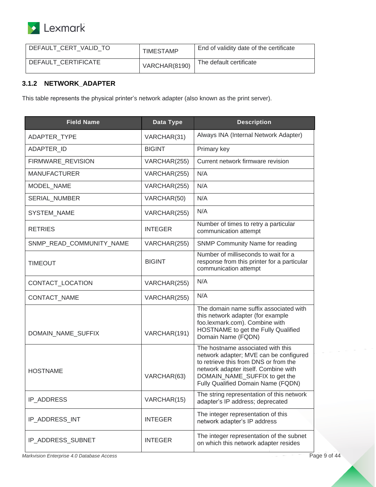

| DEFAULT CERT VALID TO | <b>TIMESTAMP</b> | End of validity date of the certificate |
|-----------------------|------------------|-----------------------------------------|
| DEFAULT CERTIFICATE   | VARCHAR(8190)    | The default certificate                 |

#### <span id="page-8-0"></span>**3.1.2 NETWORK\_ADAPTER**

This table represents the physical printer's network adapter (also known as the print server).

| <b>Field Name</b>        | Data Type      | <b>Description</b>                                                                                                                                                                                                                  |
|--------------------------|----------------|-------------------------------------------------------------------------------------------------------------------------------------------------------------------------------------------------------------------------------------|
| ADAPTER_TYPE             | VARCHAR(31)    | Always INA (Internal Network Adapter)                                                                                                                                                                                               |
| ADAPTER_ID               | <b>BIGINT</b>  | Primary key                                                                                                                                                                                                                         |
| FIRMWARE REVISION        | VARCHAR(255)   | Current network firmware revision                                                                                                                                                                                                   |
| <b>MANUFACTURER</b>      | VARCHAR(255)   | N/A                                                                                                                                                                                                                                 |
| MODEL NAME               | VARCHAR(255)   | N/A                                                                                                                                                                                                                                 |
| SERIAL_NUMBER            | VARCHAR(50)    | N/A                                                                                                                                                                                                                                 |
| SYSTEM_NAME              | VARCHAR(255)   | N/A                                                                                                                                                                                                                                 |
| <b>RETRIES</b>           | <b>INTEGER</b> | Number of times to retry a particular<br>communication attempt                                                                                                                                                                      |
| SNMP_READ_COMMUNITY_NAME | VARCHAR(255)   | <b>SNMP Community Name for reading</b>                                                                                                                                                                                              |
| <b>TIMEOUT</b>           | <b>BIGINT</b>  | Number of milliseconds to wait for a<br>response from this printer for a particular<br>communication attempt                                                                                                                        |
| CONTACT_LOCATION         | VARCHAR(255)   | N/A                                                                                                                                                                                                                                 |
| CONTACT_NAME             | VARCHAR(255)   | N/A                                                                                                                                                                                                                                 |
| DOMAIN_NAME_SUFFIX       | VARCHAR(191)   | The domain name suffix associated with<br>this network adapter (for example<br>foo.lexmark.com). Combine with<br>HOSTNAME to get the Fully Qualified<br>Domain Name (FQDN)                                                          |
| <b>HOSTNAME</b>          | VARCHAR(63)    | The hostname associated with this<br>network adapter; MVE can be configured<br>to retrieve this from DNS or from the<br>network adapter itself. Combine with<br>DOMAIN_NAME_SUFFIX to get the<br>Fully Qualified Domain Name (FQDN) |
| IP_ADDRESS               | VARCHAR(15)    | The string representation of this network<br>adapter's IP address; deprecated                                                                                                                                                       |
| IP_ADDRESS_INT           | <b>INTEGER</b> | The integer representation of this<br>network adapter's IP address                                                                                                                                                                  |
| IP_ADDRESS_SUBNET        | <b>INTEGER</b> | The integer representation of the subnet<br>on which this network adapter resides                                                                                                                                                   |

*Markvision Enterprise 4.0 Database Access* Page 9 of 44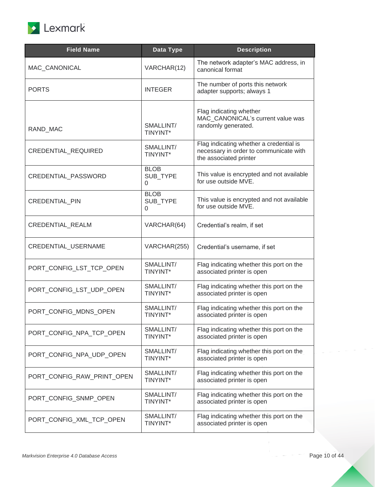

| <b>Field Name</b>          | Data Type                    | <b>Description</b>                                                                                          |
|----------------------------|------------------------------|-------------------------------------------------------------------------------------------------------------|
| MAC CANONICAL              | VARCHAR(12)                  | The network adapter's MAC address, in<br>canonical format                                                   |
| <b>PORTS</b>               | <b>INTEGER</b>               | The number of ports this network<br>adapter supports; always 1                                              |
| RAND_MAC                   | SMALLINT/<br>TINYINT*        | Flag indicating whether<br>MAC CANONICAL's current value was<br>randomly generated.                         |
| CREDENTIAL_REQUIRED        | SMALLINT/<br>TINYINT*        | Flag indicating whether a credential is<br>necessary in order to communicate with<br>the associated printer |
| CREDENTIAL_PASSWORD        | <b>BLOB</b><br>SUB TYPE<br>0 | This value is encrypted and not available<br>for use outside MVE.                                           |
| <b>CREDENTIAL PIN</b>      | <b>BLOB</b><br>SUB TYPE<br>0 | This value is encrypted and not available<br>for use outside MVE.                                           |
| CREDENTIAL_REALM           | VARCHAR(64)                  | Credential's realm, if set                                                                                  |
| CREDENTIAL_USERNAME        | VARCHAR(255)                 | Credential's username, if set                                                                               |
| PORT_CONFIG_LST_TCP_OPEN   | SMALLINT/<br>TINYINT*        | Flag indicating whether this port on the<br>associated printer is open                                      |
| PORT_CONFIG_LST_UDP_OPEN   | SMALLINT/<br>TINYINT*        | Flag indicating whether this port on the<br>associated printer is open                                      |
| PORT_CONFIG_MDNS_OPEN      | SMALLINT/<br>TINYINT*        | Flag indicating whether this port on the<br>associated printer is open                                      |
| PORT_CONFIG_NPA_TCP_OPEN   | SMALLINT/<br>TINYINT*        | Flag indicating whether this port on the<br>associated printer is open                                      |
| PORT_CONFIG_NPA_UDP_OPEN   | SMALLINT/<br>TINYINT*        | Flag indicating whether this port on the<br>associated printer is open                                      |
| PORT_CONFIG_RAW_PRINT_OPEN | SMALLINT/<br>TINYINT*        | Flag indicating whether this port on the<br>associated printer is open                                      |
| PORT_CONFIG_SNMP_OPEN      | SMALLINT/<br>TINYINT*        | Flag indicating whether this port on the<br>associated printer is open                                      |
| PORT_CONFIG_XML_TCP_OPEN   | SMALLINT/<br>TINYINT*        | Flag indicating whether this port on the<br>associated printer is open                                      |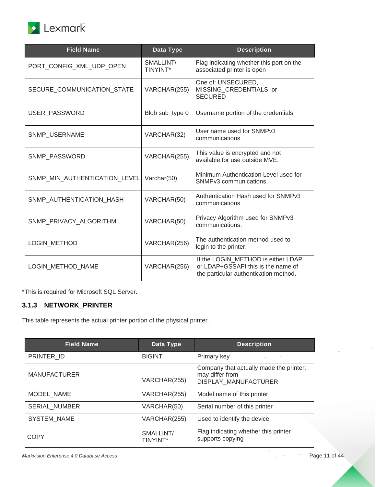

| <b>Field Name</b>             | Data Type             | <b>Description</b>                                                                                                |
|-------------------------------|-----------------------|-------------------------------------------------------------------------------------------------------------------|
| PORT_CONFIG_XML_UDP_OPEN      | SMALLINT/<br>TINYINT* | Flag indicating whether this port on the<br>associated printer is open                                            |
| SECURE_COMMUNICATION_STATE    | VARCHAR(255)          | One of: UNSECURED,<br>MISSING_CREDENTIALS, or<br><b>SECURED</b>                                                   |
| USER_PASSWORD                 | Blob sub_type 0       | Username portion of the credentials                                                                               |
| SNMP_USERNAME                 | VARCHAR(32)           | User name used for SNMPv3<br>communications.                                                                      |
| SNMP_PASSWORD                 | VARCHAR(255)          | This value is encrypted and not<br>available for use outside MVE.                                                 |
| SNMP_MIN_AUTHENTICATION_LEVEL | Varchar(50)           | Minimum Authentication Level used for<br>SNMP <sub>v3</sub> communications.                                       |
| SNMP_AUTHENTICATION_HASH      | VARCHAR(50)           | Authentication Hash used for SNMPv3<br>communications                                                             |
| SNMP_PRIVACY_ALGORITHM        | VARCHAR(50)           | Privacy Algorithm used for SNMPv3<br>communications.                                                              |
| LOGIN_METHOD                  | VARCHAR(256)          | The authentication method used to<br>login to the printer.                                                        |
| LOGIN METHOD NAME             | VARCHAR(256)          | If the LOGIN METHOD is either LDAP<br>or LDAP+GSSAPI this is the name of<br>the particular authentication method. |

### <span id="page-10-0"></span>**3.1.3 NETWORK\_PRINTER**

This table represents the actual printer portion of the physical printer.

| <b>Field Name</b>    | Data Type             | <b>Description</b>                                                                 |
|----------------------|-----------------------|------------------------------------------------------------------------------------|
| PRINTER ID           | <b>BIGINT</b>         | Primary key                                                                        |
| <b>MANUFACTURER</b>  | VARCHAR(255)          | Company that actually made the printer;<br>may differ from<br>DISPLAY MANUFACTURER |
| MODEL NAME           | VARCHAR(255)          | Model name of this printer                                                         |
| <b>SERIAL NUMBER</b> | VARCHAR(50)           | Serial number of this printer                                                      |
| SYSTEM_NAME          | VARCHAR(255)          | Used to identify the device                                                        |
| COPY                 | SMALLINT/<br>TINYINT* | Flag indicating whether this printer<br>supports copying                           |

*Markvision Enterprise 4.0 Database Access* Page 11 of 44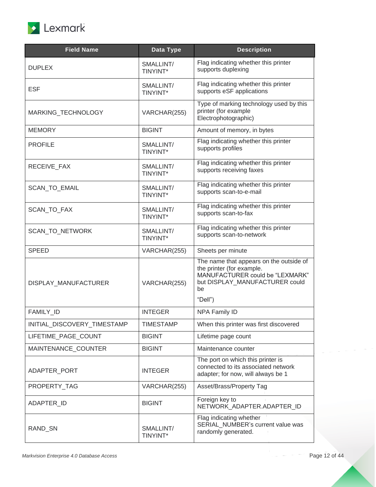

| <b>Field Name</b>           | Data Type             | <b>Description</b>                                                                                                                                         |
|-----------------------------|-----------------------|------------------------------------------------------------------------------------------------------------------------------------------------------------|
| <b>DUPLEX</b>               | SMALLINT/<br>TINYINT* | Flag indicating whether this printer<br>supports duplexing                                                                                                 |
| <b>ESF</b>                  | SMALLINT/<br>TINYINT* | Flag indicating whether this printer<br>supports eSF applications                                                                                          |
| MARKING_TECHNOLOGY          | VARCHAR(255)          | Type of marking technology used by this<br>printer (for example<br>Electrophotographic)                                                                    |
| <b>MEMORY</b>               | <b>BIGINT</b>         | Amount of memory, in bytes                                                                                                                                 |
| <b>PROFILE</b>              | SMALLINT/<br>TINYINT* | Flag indicating whether this printer<br>supports profiles                                                                                                  |
| RECEIVE FAX                 | SMALLINT/<br>TINYINT* | Flag indicating whether this printer<br>supports receiving faxes                                                                                           |
| SCAN_TO_EMAIL               | SMALLINT/<br>TINYINT* | Flag indicating whether this printer<br>supports scan-to-e-mail                                                                                            |
| SCAN_TO_FAX                 | SMALLINT/<br>TINYINT* | Flag indicating whether this printer<br>supports scan-to-fax                                                                                               |
| SCAN_TO_NETWORK             | SMALLINT/<br>TINYINT* | Flag indicating whether this printer<br>supports scan-to-network                                                                                           |
| <b>SPEED</b>                | VARCHAR(255)          | Sheets per minute                                                                                                                                          |
| DISPLAY_MANUFACTURER        | VARCHAR(255)          | The name that appears on the outside of<br>the printer (for example.<br>MANUFACTURER could be "LEXMARK"<br>but DISPLAY_MANUFACTURER could<br>be<br>"Dell") |
| FAMILY_ID                   | <b>INTEGER</b>        | <b>NPA Family ID</b>                                                                                                                                       |
| INITIAL_DISCOVERY_TIMESTAMP | TIMESTAMP             | When this printer was first discovered                                                                                                                     |
| LIFETIME_PAGE_COUNT         | <b>BIGINT</b>         | Lifetime page count                                                                                                                                        |
| MAINTENANCE_COUNTER         | <b>BIGINT</b>         | Maintenance counter                                                                                                                                        |
| ADAPTER PORT                | <b>INTEGER</b>        | The port on which this printer is<br>connected to its associated network<br>adapter; for now, will always be 1                                             |
| PROPERTY_TAG                | VARCHAR(255)          | Asset/Brass/Property Tag                                                                                                                                   |
| ADAPTER_ID                  | <b>BIGINT</b>         | Foreign key to<br>NETWORK_ADAPTER.ADAPTER_ID                                                                                                               |
| RAND_SN                     | SMALLINT/<br>TINYINT* | Flag indicating whether<br>SERIAL_NUMBER's current value was<br>randomly generated.                                                                        |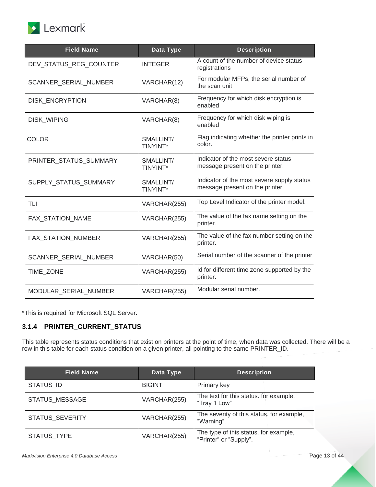

| <b>Field Name</b>            | Data Type                    | <b>Description</b>                                                            |
|------------------------------|------------------------------|-------------------------------------------------------------------------------|
| DEV_STATUS_REG_COUNTER       | <b>INTEGER</b>               | A count of the number of device status<br>registrations                       |
| <b>SCANNER SERIAL NUMBER</b> | VARCHAR(12)                  | For modular MFPs, the serial number of<br>the scan unit                       |
| DISK_ENCRYPTION              | VARCHAR(8)                   | Frequency for which disk encryption is<br>enabled                             |
| DISK_WIPING                  | VARCHAR(8)                   | Frequency for which disk wiping is<br>enabled                                 |
| <b>COLOR</b>                 | SMALLINT/<br>TINYINT*        | Flag indicating whether the printer prints in<br>color.                       |
| PRINTER_STATUS_SUMMARY       | SMALLINT/<br><b>TINYINT*</b> | Indicator of the most severe status<br>message present on the printer.        |
| SUPPLY_STATUS_SUMMARY        | SMALLINT/<br>TINYINT*        | Indicator of the most severe supply status<br>message present on the printer. |
| <b>TLI</b>                   | VARCHAR(255)                 | Top Level Indicator of the printer model.                                     |
| FAX_STATION_NAME             | VARCHAR(255)                 | The value of the fax name setting on the<br>printer.                          |
| FAX_STATION_NUMBER           | VARCHAR(255)                 | The value of the fax number setting on the<br>printer.                        |
| SCANNER_SERIAL_NUMBER        | VARCHAR(50)                  | Serial number of the scanner of the printer                                   |
| TIME_ZONE                    | VARCHAR(255)                 | Id for different time zone supported by the<br>printer.                       |
| MODULAR_SERIAL_NUMBER        | VARCHAR(255)                 | Modular serial number.                                                        |

#### <span id="page-12-0"></span>**3.1.4 PRINTER\_CURRENT\_STATUS**

This table represents status conditions that exist on printers at the point of time, when data was collected. There will be a row in this table for each status condition on a given printer, all pointing to the same PRINTER\_ID.

| <b>Field Name</b> | Data Type     | <b>Description</b>                                              |
|-------------------|---------------|-----------------------------------------------------------------|
| <b>STATUS ID</b>  | <b>BIGINT</b> | Primary key                                                     |
| STATUS_MESSAGE    | VARCHAR(255)  | The text for this status. for example,<br>"Tray 1 Low"          |
| STATUS_SEVERITY   | VARCHAR(255)  | The severity of this status, for example,<br>"Warning".         |
| STATUS_TYPE       | VARCHAR(255)  | The type of this status. for example,<br>"Printer" or "Supply". |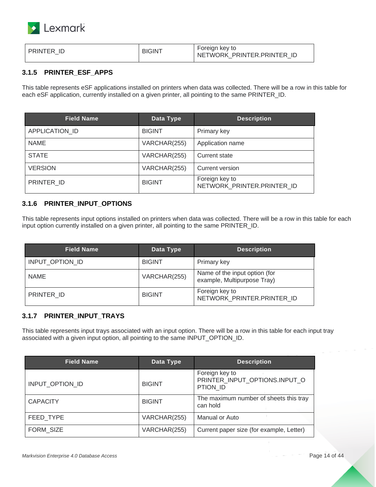

| <b>BIGINT</b><br><b>PRINTER ID</b> | Foreign key to<br>NETWORK PRINTER PRINTER<br>-IE |
|------------------------------------|--------------------------------------------------|
|------------------------------------|--------------------------------------------------|

#### <span id="page-13-0"></span>**3.1.5 PRINTER\_ESF\_APPS**

This table represents eSF applications installed on printers when data was collected. There will be a row in this table for each eSF application, currently installed on a given printer, all pointing to the same PRINTER\_ID.

| <b>Field Name</b> | Data Type     | <b>Description</b>                           |
|-------------------|---------------|----------------------------------------------|
| APPLICATION ID    | <b>BIGINT</b> | Primary key                                  |
| <b>NAME</b>       | VARCHAR(255)  | Application name                             |
| <b>STATE</b>      | VARCHAR(255)  | Current state                                |
| <b>VERSION</b>    | VARCHAR(255)  | Current version                              |
| PRINTER_ID        | <b>BIGINT</b> | Foreign key to<br>NETWORK PRINTER.PRINTER ID |

#### <span id="page-13-1"></span>**3.1.6 PRINTER\_INPUT\_OPTIONS**

This table represents input options installed on printers when data was collected. There will be a row in this table for each input option currently installed on a given printer, all pointing to the same PRINTER\_ID.

| <b>Field Name</b> | Data Type     | <b>Description</b>                                           |
|-------------------|---------------|--------------------------------------------------------------|
| INPUT OPTION ID   | <b>BIGINT</b> | Primary key                                                  |
| <b>NAME</b>       | VARCHAR(255)  | Name of the input option (for<br>example, Multipurpose Tray) |
| PRINTER ID        | <b>BIGINT</b> | Foreign key to<br>NETWORK PRINTER.PRINTER ID                 |

#### <span id="page-13-2"></span>**3.1.7 PRINTER\_INPUT\_TRAYS**

This table represents input trays associated with an input option. There will be a row in this table for each input tray associated with a given input option, all pointing to the same INPUT\_OPTION\_ID.

| <b>Field Name</b> | Data Type     | <b>Description</b>                                          |
|-------------------|---------------|-------------------------------------------------------------|
| INPUT OPTION ID   | <b>BIGINT</b> | Foreign key to<br>PRINTER INPUT OPTIONS.INPUT O<br>PTION ID |
| <b>CAPACITY</b>   | <b>BIGINT</b> | The maximum number of sheets this tray<br>can hold          |
| FEED TYPE         | VARCHAR(255)  | Manual or Auto                                              |
| FORM SIZE         | VARCHAR(255)  | Current paper size (for example, Letter)                    |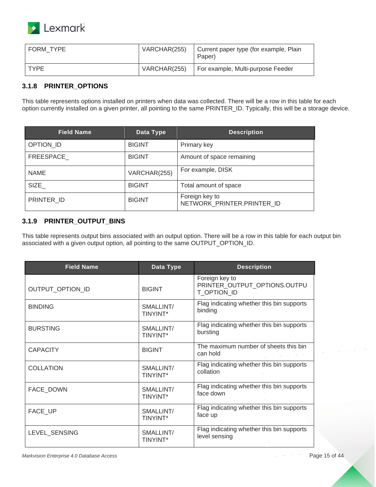

| I FORM TYPE | VARCHAR(255) | Current paper type (for example, Plain<br>Paper) |
|-------------|--------------|--------------------------------------------------|
| <b>TYPF</b> | VARCHAR(255) | For example, Multi-purpose Feeder                |

#### <span id="page-14-0"></span>**3.1.8 PRINTER\_OPTIONS**

This table represents options installed on printers when data was collected. There will be a row in this table for each option currently installed on a given printer, all pointing to the same PRINTER\_ID. Typically, this will be a storage device.

| <b>Field Name</b> | Data Type     | <b>Description</b>                           |
|-------------------|---------------|----------------------------------------------|
| OPTION ID         | <b>BIGINT</b> | Primary key                                  |
| FREESPACE_        | <b>BIGINT</b> | Amount of space remaining                    |
| <b>NAME</b>       | VARCHAR(255)  | For example, DISK                            |
| SIZE              | <b>BIGINT</b> | Total amount of space                        |
| PRINTER ID        | <b>BIGINT</b> | Foreign key to<br>NETWORK PRINTER.PRINTER ID |

#### <span id="page-14-1"></span>**3.1.9 PRINTER\_OUTPUT\_BINS**

This table represents output bins associated with an output option. There will be a row in this table for each output bin associated with a given output option, all pointing to the same OUTPUT\_OPTION\_ID.

| <b>Field Name</b> | Data Type                    | <b>Description</b>                                            |
|-------------------|------------------------------|---------------------------------------------------------------|
| OUTPUT_OPTION_ID  | <b>BIGINT</b>                | Foreign key to<br>PRINTER_OUTPUT_OPTIONS.OUTPU<br>T OPTION ID |
| <b>BINDING</b>    | SMALLINT/<br><b>TINYINT*</b> | Flag indicating whether this bin supports<br>binding          |
| <b>BURSTING</b>   | SMALLINT/<br><b>TINYINT*</b> | Flag indicating whether this bin supports<br>bursting         |
| <b>CAPACITY</b>   | <b>BIGINT</b>                | The maximum number of sheets this bin<br>can hold             |
| <b>COLLATION</b>  | SMALLINT/<br><b>TINYINT*</b> | Flag indicating whether this bin supports<br>collation        |
| <b>FACE DOWN</b>  | SMALLINT/<br><b>TINYINT*</b> | Flag indicating whether this bin supports<br>face down        |
| FACE UP           | SMALLINT/<br><b>TINYINT*</b> | Flag indicating whether this bin supports<br>face up          |
| LEVEL_SENSING     | SMALLINT/<br><b>TINYINT*</b> | Flag indicating whether this bin supports<br>level sensing    |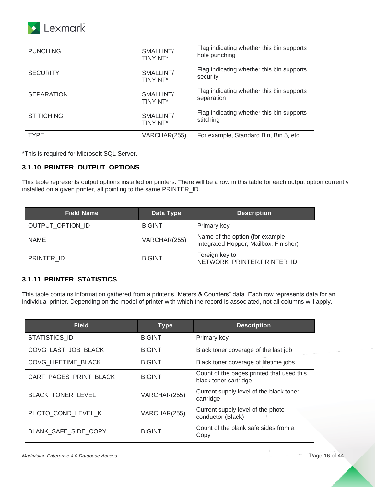

| <b>PUNCHING</b>   | SMALLINT/<br><b>TINYINT*</b> | Flag indicating whether this bin supports<br>hole punching |
|-------------------|------------------------------|------------------------------------------------------------|
| <b>SECURITY</b>   | SMALLINT/<br>TINYINT*        | Flag indicating whether this bin supports<br>security      |
| <b>SEPARATION</b> | SMALLINT/<br><b>TINYINT*</b> | Flag indicating whether this bin supports<br>separation    |
| <b>STITICHING</b> | SMALLINT/<br><b>TINYINT*</b> | Flag indicating whether this bin supports<br>stitching     |
| <b>TYPE</b>       | VARCHAR(255)                 | For example, Standard Bin, Bin 5, etc.                     |

#### <span id="page-15-0"></span>**3.1.10 PRINTER\_OUTPUT\_OPTIONS**

This table represents output options installed on printers. There will be a row in this table for each output option currently installed on a given printer, all pointing to the same PRINTER\_ID.

| <b>Field Name</b> | Data Type     | <b>Description</b>                                                        |
|-------------------|---------------|---------------------------------------------------------------------------|
| OUTPUT_OPTION_ID  | <b>BIGINT</b> | Primary key                                                               |
| <b>NAME</b>       | VARCHAR(255)  | Name of the option (for example,<br>Integrated Hopper, Mailbox, Finisher) |
| PRINTER ID        | <b>BIGINT</b> | Foreign key to<br>NETWORK PRINTER.PRINTER ID                              |

#### <span id="page-15-1"></span>**3.1.11 PRINTER\_STATISTICS**

This table contains information gathered from a printer's "Meters & Counters" data. Each row represents data for an individual printer. Depending on the model of printer with which the record is associated, not all columns will apply.

| <b>Field</b>             | <b>Type</b>   | <b>Description</b>                                                 |
|--------------------------|---------------|--------------------------------------------------------------------|
| STATISTICS ID            | <b>BIGINT</b> | Primary key                                                        |
| COVG LAST JOB BLACK      | <b>BIGINT</b> | Black toner coverage of the last job                               |
| COVG_LIFETIME_BLACK      | <b>BIGINT</b> | Black toner coverage of lifetime jobs                              |
| CART_PAGES_PRINT_BLACK   | <b>BIGINT</b> | Count of the pages printed that used this<br>black toner cartridge |
| <b>BLACK TONER LEVEL</b> | VARCHAR(255)  | Current supply level of the black toner<br>cartridge               |
| PHOTO COND LEVEL K       | VARCHAR(255)  | Current supply level of the photo<br>conductor (Black)             |
| BLANK SAFE SIDE COPY     | <b>BIGINT</b> | Count of the blank safe sides from a<br>Copy                       |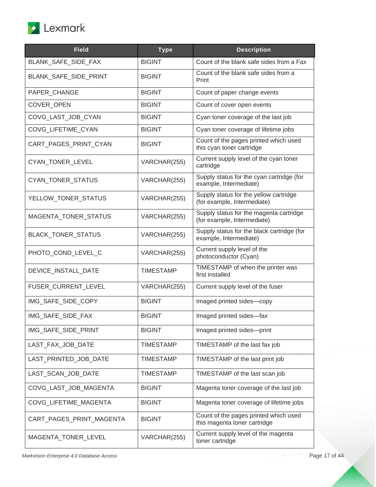

| <b>Field</b>             | <b>Type</b>      | <b>Description</b>                                                     |
|--------------------------|------------------|------------------------------------------------------------------------|
| BLANK_SAFE_SIDE_FAX      | <b>BIGINT</b>    | Count of the blank safe sides from a Fax                               |
| BLANK_SAFE_SIDE_PRINT    | <b>BIGINT</b>    | Count of the blank safe sides from a<br>Print                          |
| PAPER_CHANGE             | <b>BIGINT</b>    | Count of paper change events                                           |
| <b>COVER OPEN</b>        | <b>BIGINT</b>    | Count of cover open events                                             |
| COVG_LAST_JOB_CYAN       | <b>BIGINT</b>    | Cyan toner coverage of the last job                                    |
| COVG LIFETIME CYAN       | <b>BIGINT</b>    | Cyan toner coverage of lifetime jobs                                   |
| CART_PAGES_PRINT_CYAN    | <b>BIGINT</b>    | Count of the pages printed which used<br>this cyan toner cartridge     |
| CYAN_TONER_LEVEL         | VARCHAR(255)     | Current supply level of the cyan toner<br>cartridge                    |
| CYAN_TONER_STATUS        | VARCHAR(255)     | Supply status for the cyan cartridge (for<br>example, Intermediate)    |
| YELLOW_TONER_STATUS      | VARCHAR(255)     | Supply status for the yellow cartridge<br>(for example, Intermediate)  |
| MAGENTA_TONER_STATUS     | VARCHAR(255)     | Supply status for the magenta cartridge<br>(for example, Intermediate) |
| BLACK_TONER_STATUS       | VARCHAR(255)     | Supply status for the black cartridge (for<br>example, Intermediate)   |
| PHOTO_COND_LEVEL_C       | VARCHAR(255)     | Current supply level of the<br>photoconductor (Cyan)                   |
| DEVICE_INSTALL_DATE      | <b>TIMESTAMP</b> | TIMESTAMP of when the printer was<br>first installed                   |
| FUSER_CURRENT_LEVEL      | VARCHAR(255)     | Current supply level of the fuser                                      |
| IMG_SAFE_SIDE_COPY       | <b>BIGINT</b>    | Imaged printed sides-copy                                              |
| IMG SAFE SIDE FAX        | <b>BIGINT</b>    | Imaged printed sides-fax                                               |
| IMG_SAFE_SIDE_PRINT      | <b>BIGINT</b>    | Imaged printed sides-print                                             |
| LAST FAX JOB DATE        | <b>TIMESTAMP</b> | TIMESTAMP of the last fax job                                          |
| LAST_PRINTED_JOB_DATE    | <b>TIMESTAMP</b> | TIMESTAMP of the last print job                                        |
| LAST_SCAN_JOB_DATE       | <b>TIMESTAMP</b> | TIMESTAMP of the last scan job                                         |
| COVG LAST JOB MAGENTA    | <b>BIGINT</b>    | Magenta toner coverage of the last job                                 |
| COVG_LIFETIME_MAGENTA    | <b>BIGINT</b>    | Magenta toner coverage of lifetime jobs                                |
| CART_PAGES_PRINT_MAGENTA | <b>BIGINT</b>    | Count of the pages printed which used<br>this magenta toner cartridge  |
| MAGENTA_TONER_LEVEL      | VARCHAR(255)     | Current supply level of the magenta<br>toner cartridge                 |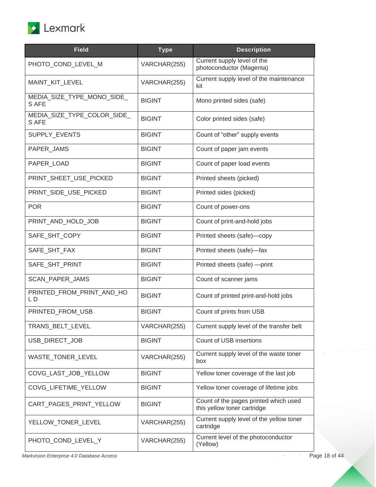

| <b>Field</b>                         | <b>Type</b>   | <b>Description</b>                                                   |
|--------------------------------------|---------------|----------------------------------------------------------------------|
| PHOTO_COND_LEVEL_M                   | VARCHAR(255)  | Current supply level of the<br>photoconductor (Magenta)              |
| MAINT_KIT_LEVEL                      | VARCHAR(255)  | Current supply level of the maintenance<br>kit                       |
| MEDIA_SIZE_TYPE_MONO_SIDE_<br>S AFE  | <b>BIGINT</b> | Mono printed sides (safe)                                            |
| MEDIA_SIZE_TYPE_COLOR_SIDE_<br>S AFE | <b>BIGINT</b> | Color printed sides (safe)                                           |
| SUPPLY_EVENTS                        | <b>BIGINT</b> | Count of "other" supply events                                       |
| PAPER_JAMS                           | <b>BIGINT</b> | Count of paper jam events                                            |
| PAPER_LOAD                           | <b>BIGINT</b> | Count of paper load events                                           |
| PRINT_SHEET_USE_PICKED               | <b>BIGINT</b> | Printed sheets (picked)                                              |
| PRINT_SIDE_USE_PICKED                | <b>BIGINT</b> | Printed sides (picked)                                               |
| <b>POR</b>                           | <b>BIGINT</b> | Count of power-ons                                                   |
| PRINT_AND_HOLD_JOB                   | <b>BIGINT</b> | Count of print-and-hold jobs                                         |
| SAFE_SHT_COPY                        | <b>BIGINT</b> | Printed sheets (safe)-copy                                           |
| SAFE_SHT_FAX                         | <b>BIGINT</b> | Printed sheets (safe)-fax                                            |
| SAFE_SHT_PRINT                       | <b>BIGINT</b> | Printed sheets (safe) -- print                                       |
| SCAN_PAPER_JAMS                      | <b>BIGINT</b> | Count of scanner jams                                                |
| PRINTED_FROM_PRINT_AND_HO<br>LD      | <b>BIGINT</b> | Count of printed print-and-hold jobs                                 |
| PRINTED_FROM_USB                     | <b>BIGINT</b> | Count of prints from USB                                             |
| TRANS_BELT_LEVEL                     | VARCHAR(255)  | Current supply level of the transfer belt                            |
| USB_DIRECT_JOB                       | <b>BIGINT</b> | Count of USB insertions                                              |
| WASTE_TONER_LEVEL                    | VARCHAR(255)  | Current supply level of the waste toner<br>box                       |
| COVG_LAST_JOB_YELLOW                 | <b>BIGINT</b> | Yellow toner coverage of the last job                                |
| COVG_LIFETIME_YELLOW                 | <b>BIGINT</b> | Yellow toner coverage of lifetime jobs                               |
| CART_PAGES_PRINT_YELLOW              | <b>BIGINT</b> | Count of the pages printed which used<br>this yellow toner cartridge |
| YELLOW_TONER_LEVEL                   | VARCHAR(255)  | Current supply level of the yellow toner<br>cartridge                |
|                                      |               |                                                                      |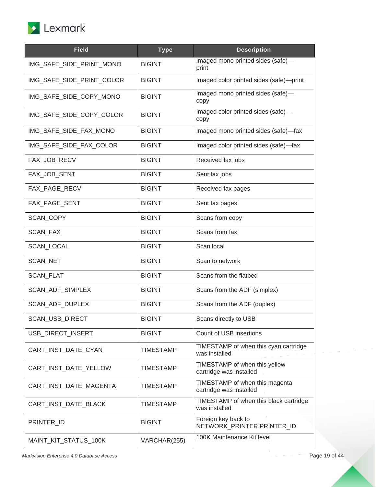

| <b>Field</b>              | <b>Type</b>      | <b>Description</b>                                        |
|---------------------------|------------------|-----------------------------------------------------------|
| IMG_SAFE_SIDE_PRINT_MONO  | <b>BIGINT</b>    | Imaged mono printed sides (safe)-<br>print                |
| IMG SAFE SIDE PRINT COLOR | <b>BIGINT</b>    | Imaged color printed sides (safe)-print                   |
| IMG_SAFE_SIDE_COPY_MONO   | <b>BIGINT</b>    | Imaged mono printed sides (safe)-<br>copy                 |
| IMG_SAFE_SIDE_COPY_COLOR  | <b>BIGINT</b>    | Imaged color printed sides (safe)-<br>copy                |
| IMG_SAFE_SIDE_FAX_MONO    | <b>BIGINT</b>    | Imaged mono printed sides (safe)-fax                      |
| IMG_SAFE_SIDE_FAX_COLOR   | <b>BIGINT</b>    | Imaged color printed sides (safe)-fax                     |
| FAX_JOB_RECV              | <b>BIGINT</b>    | Received fax jobs                                         |
| FAX_JOB_SENT              | <b>BIGINT</b>    | Sent fax jobs                                             |
| FAX_PAGE_RECV             | <b>BIGINT</b>    | Received fax pages                                        |
| FAX PAGE SENT             | <b>BIGINT</b>    | Sent fax pages                                            |
| SCAN_COPY                 | <b>BIGINT</b>    | Scans from copy                                           |
| SCAN_FAX                  | <b>BIGINT</b>    | Scans from fax                                            |
| SCAN_LOCAL                | <b>BIGINT</b>    | Scan local                                                |
| SCAN_NET                  | <b>BIGINT</b>    | Scan to network                                           |
| <b>SCAN_FLAT</b>          | <b>BIGINT</b>    | Scans from the flatbed                                    |
| SCAN_ADF_SIMPLEX          | <b>BIGINT</b>    | Scans from the ADF (simplex)                              |
| SCAN_ADF_DUPLEX           | <b>BIGINT</b>    | Scans from the ADF (duplex)                               |
| <b>SCAN USB DIRECT</b>    | <b>BIGINT</b>    | Scans directly to USB                                     |
| USB_DIRECT_INSERT         | <b>BIGINT</b>    | Count of USB insertions                                   |
| CART_INST_DATE_CYAN       | <b>TIMESTAMP</b> | TIMESTAMP of when this cyan cartridge<br>was installed    |
| CART_INST_DATE_YELLOW     | <b>TIMESTAMP</b> | TIMESTAMP of when this yellow<br>cartridge was installed  |
| CART_INST_DATE_MAGENTA    | <b>TIMESTAMP</b> | TIMESTAMP of when this magenta<br>cartridge was installed |
| CART_INST_DATE_BLACK      | <b>TIMESTAMP</b> | TIMESTAMP of when this black cartridge<br>was installed   |
| PRINTER_ID                | <b>BIGINT</b>    | Foreign key back to<br>NETWORK_PRINTER.PRINTER_ID         |
| MAINT_KIT_STATUS_100K     | VARCHAR(255)     | 100K Maintenance Kit level                                |

*Markvision Enterprise 4.0 Database Access* Page 19 of 44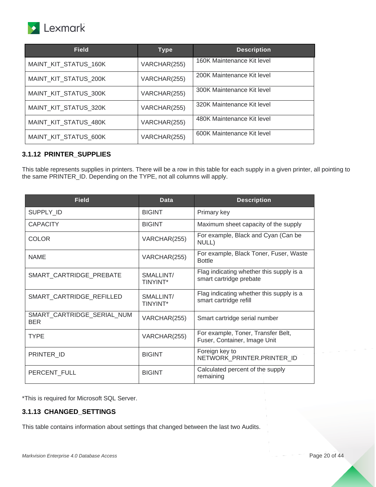

| <b>Field</b>          | <b>Type</b>  | <b>Description</b>         |
|-----------------------|--------------|----------------------------|
| MAINT KIT STATUS 160K | VARCHAR(255) | 160K Maintenance Kit level |
| MAINT KIT STATUS 200K | VARCHAR(255) | 200K Maintenance Kit level |
| MAINT_KIT_STATUS_300K | VARCHAR(255) | 300K Maintenance Kit level |
| MAINT KIT STATUS 320K | VARCHAR(255) | 320K Maintenance Kit level |
| MAINT KIT STATUS 480K | VARCHAR(255) | 480K Maintenance Kit level |
| MAINT KIT STATUS 600K | VARCHAR(255) | 600K Maintenance Kit level |

#### <span id="page-19-0"></span>**3.1.12 PRINTER\_SUPPLIES**

This table represents supplies in printers. There will be a row in this table for each supply in a given printer, all pointing to the same PRINTER\_ID. Depending on the TYPE, not all columns will apply.

| <b>Field</b>                             | <b>Data</b>                  | <b>Description</b>                                                  |
|------------------------------------------|------------------------------|---------------------------------------------------------------------|
| SUPPLY ID                                | <b>BIGINT</b>                | Primary key                                                         |
| <b>CAPACITY</b>                          | <b>BIGINT</b>                | Maximum sheet capacity of the supply                                |
| <b>COLOR</b>                             | VARCHAR(255)                 | For example, Black and Cyan (Can be<br>NULL)                        |
| <b>NAME</b>                              | VARCHAR(255)                 | For example, Black Toner, Fuser, Waste<br><b>Bottle</b>             |
| SMART_CARTRIDGE_PREBATE                  | SMALLINT/<br><b>TINYINT*</b> | Flag indicating whether this supply is a<br>smart cartridge prebate |
| SMART_CARTRIDGE_REFILLED                 | SMALLINT/<br><b>TINYINT*</b> | Flag indicating whether this supply is a<br>smart cartridge refill  |
| SMART_CARTRIDGE_SERIAL_NUM<br><b>BER</b> | VARCHAR(255)                 | Smart cartridge serial number                                       |
| <b>TYPE</b>                              | VARCHAR(255)                 | For example, Toner, Transfer Belt,<br>Fuser, Container, Image Unit  |
| PRINTER_ID                               | <b>BIGINT</b>                | Foreign key to<br>NETWORK_PRINTER.PRINTER_ID                        |
| PERCENT FULL                             | <b>BIGINT</b>                | Calculated percent of the supply<br>remaining                       |

\*This is required for Microsoft SQL Server.

#### <span id="page-19-1"></span>**3.1.13 CHANGED\_SETTINGS**

This table contains information about settings that changed between the last two Audits.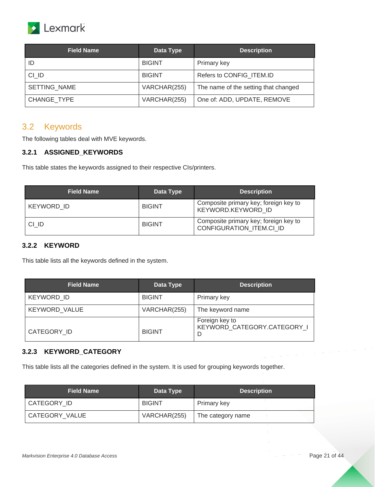

| <b>Field Name</b>  | Data Type     | <b>Description</b>                   |
|--------------------|---------------|--------------------------------------|
|                    | <b>BIGINT</b> | Primary key                          |
| CI ID              | <b>BIGINT</b> | Refers to CONFIG ITEM.ID             |
| SETTING NAME       | VARCHAR(255)  | The name of the setting that changed |
| <b>CHANGE TYPE</b> | VARCHAR(255)  | One of: ADD, UPDATE, REMOVE          |

## <span id="page-20-0"></span>3.2 Keywords

The following tables deal with MVE keywords.

#### <span id="page-20-1"></span>**3.2.1 ASSIGNED\_KEYWORDS**

This table states the keywords assigned to their respective CIs/printers.

| <b>Field Name</b> | Data Type     | <b>Description</b>                                                       |
|-------------------|---------------|--------------------------------------------------------------------------|
| KEYWORD ID        | <b>BIGINT</b> | Composite primary key; foreign key to<br>KEYWORD.KEYWORD ID              |
| CI ID             | <b>BIGINT</b> | Composite primary key; foreign key to<br><b>CONFIGURATION ITEM.CI ID</b> |

#### <span id="page-20-2"></span>**3.2.2 KEYWORD**

This table lists all the keywords defined in the system.

| <b>Field Name</b>    | Data Type     | <b>Description</b>                                 |
|----------------------|---------------|----------------------------------------------------|
| <b>KEYWORD ID</b>    | <b>BIGINT</b> | Primary key                                        |
| <b>KEYWORD VALUE</b> | VARCHAR(255)  | The keyword name                                   |
| CATEGORY ID          | <b>BIGINT</b> | Foreign key to<br>KEYWORD CATEGORY.CATEGORY I<br>D |

#### <span id="page-20-3"></span>**3.2.3 KEYWORD\_CATEGORY**

This table lists all the categories defined in the system. It is used for grouping keywords together.

| <b>Field Name</b> | Data Type     | <b>Description</b> |
|-------------------|---------------|--------------------|
| CATEGORY ID       | <b>BIGINT</b> | Primary key        |
| CATEGORY VALUE    | VARCHAR(255)  | The category name  |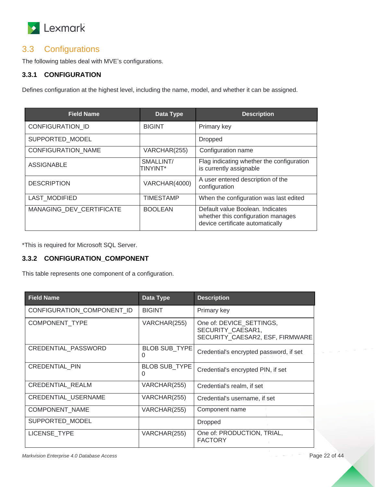

## <span id="page-21-0"></span>3.3 Configurations

The following tables deal with MVE's configurations.

#### <span id="page-21-1"></span>**3.3.1 CONFIGURATION**

Defines configuration at the highest level, including the name, model, and whether it can be assigned.

| <b>Field Name</b>         | Data Type                    | <b>Description</b>                                                                                         |
|---------------------------|------------------------------|------------------------------------------------------------------------------------------------------------|
| <b>CONFIGURATION ID</b>   | <b>BIGINT</b>                | Primary key                                                                                                |
| SUPPORTED_MODEL           |                              | <b>Dropped</b>                                                                                             |
| <b>CONFIGURATION NAME</b> | VARCHAR(255)                 | Configuration name                                                                                         |
| <b>ASSIGNABLE</b>         | SMALLINT/<br><b>TINYINT*</b> | Flag indicating whether the configuration<br>is currently assignable                                       |
| <b>DESCRIPTION</b>        | VARCHAR(4000)                | A user entered description of the<br>configuration                                                         |
| <b>LAST MODIFIED</b>      | <b>TIMESTAMP</b>             | When the configuration was last edited                                                                     |
| MANAGING DEV CERTIFICATE  | <b>BOOLEAN</b>               | Default value Boolean, Indicates<br>whether this configuration manages<br>device certificate automatically |

\*This is required for Microsoft SQL Server.

#### <span id="page-21-2"></span>**3.3.2 CONFIGURATION\_COMPONENT**

This table represents one component of a configuration.

| <b>Field Name</b>          | Data Type                 | <b>Description</b>                                                               |
|----------------------------|---------------------------|----------------------------------------------------------------------------------|
| CONFIGURATION COMPONENT ID | <b>BIGINT</b>             | Primary key                                                                      |
| COMPONENT TYPE             | VARCHAR(255)              | One of: DEVICE_SETTINGS,<br>SECURITY CAESAR1,<br>SECURITY CAESAR2, ESF, FIRMWARE |
| CREDENTIAL_PASSWORD        | <b>BLOB SUB TYPE</b><br>0 | Credential's encrypted password, if set                                          |
| <b>CREDENTIAL PIN</b>      | <b>BLOB SUB TYPE</b><br>0 | Credential's encrypted PIN, if set                                               |
| <b>CREDENTIAL REALM</b>    | VARCHAR(255)              | Credential's realm, if set                                                       |
| <b>CREDENTIAL USERNAME</b> | VARCHAR(255)              | Credential's username, if set                                                    |
| COMPONENT NAME             | VARCHAR(255)              | Component name                                                                   |
| SUPPORTED_MODEL            |                           | <b>Dropped</b>                                                                   |
| <b>LICENSE TYPE</b>        | VARCHAR(255)              | One of: PRODUCTION, TRIAL,<br><b>FACTORY</b>                                     |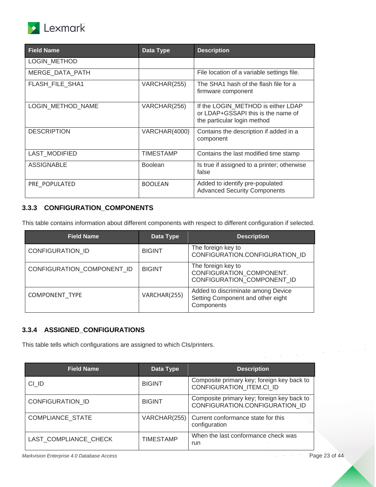

| <b>Field Name</b>      | Data Type      | <b>Description</b>                                                                                      |
|------------------------|----------------|---------------------------------------------------------------------------------------------------------|
| <b>LOGIN METHOD</b>    |                |                                                                                                         |
| MERGE_DATA_PATH        |                | File location of a variable settings file.                                                              |
| <b>FLASH FILE SHA1</b> | VARCHAR(255)   | The SHA1 hash of the flash file for a<br>firmware component                                             |
| LOGIN_METHOD_NAME      | VARCHAR(256)   | If the LOGIN METHOD is either LDAP<br>or LDAP+GSSAPI this is the name of<br>the particular login method |
| <b>DESCRIPTION</b>     | VARCHAR(4000)  | Contains the description if added in a<br>component                                                     |
| <b>LAST MODIFIED</b>   | TIMESTAMP      | Contains the last modified time stamp                                                                   |
| <b>ASSIGNABLE</b>      | <b>Boolean</b> | Is true if assigned to a printer; otherwise<br>false                                                    |
| PRE POPULATED          | <b>BOOLEAN</b> | Added to identify pre-populated<br><b>Advanced Security Components</b>                                  |

### <span id="page-22-0"></span>**3.3.3 CONFIGURATION\_COMPONENTS**

This table contains information about different components with respect to different configuration if selected.

| <b>Field Name</b>          | Data Type     | <b>Description</b>                                                                    |
|----------------------------|---------------|---------------------------------------------------------------------------------------|
| <b>CONFIGURATION ID</b>    | <b>BIGINT</b> | The foreign key to<br>CONFIGURATION.CONFIGURATION_ID                                  |
| CONFIGURATION COMPONENT ID | <b>BIGINT</b> | The foreign key to<br>CONFIGURATION_COMPONENT.<br>CONFIGURATION COMPONENT ID          |
| <b>COMPONENT TYPE</b>      | VARCHAR(255)  | Added to discriminate among Device<br>Setting Component and other eight<br>Components |

### <span id="page-22-1"></span>**3.3.4 ASSIGNED\_CONFIGURATIONS**

This table tells which configurations are assigned to which CIs/printers.

| <b>Field Name</b>       | Data Type        | <b>Description</b>                                                           |
|-------------------------|------------------|------------------------------------------------------------------------------|
| CI ID                   | <b>BIGINT</b>    | Composite primary key; foreign key back to<br>CONFIGURATION ITEM.CI ID       |
| <b>CONFIGURATION ID</b> | <b>BIGINT</b>    | Composite primary key; foreign key back to<br>CONFIGURATION.CONFIGURATION ID |
| <b>COMPLIANCE STATE</b> | VARCHAR(255)     | Current conformance state for this<br>configuration                          |
| LAST COMPLIANCE CHECK   | <b>TIMESTAMP</b> | When the last conformance check was<br>run                                   |

*Markvision Enterprise 4.0 Database Access* Page 23 of 44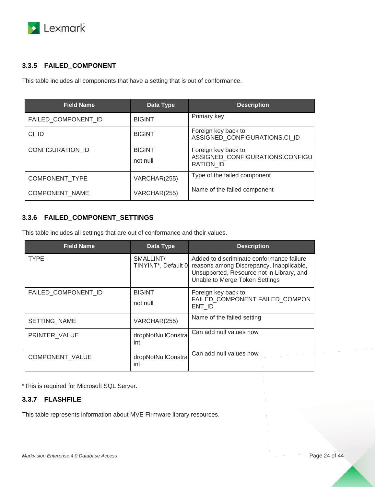

#### <span id="page-23-0"></span>**3.3.5 FAILED\_COMPONENT**

This table includes all components that have a setting that is out of conformance.

| <b>Field Name</b>       | Data Type                 | <b>Description</b>                                                         |
|-------------------------|---------------------------|----------------------------------------------------------------------------|
| FAILED_COMPONENT_ID     | <b>BIGINT</b>             | Primary key                                                                |
| CI ID                   | <b>BIGINT</b>             | Foreign key back to<br>ASSIGNED_CONFIGURATIONS.CI_ID                       |
| <b>CONFIGURATION ID</b> | <b>BIGINT</b><br>not null | Foreign key back to<br>ASSIGNED CONFIGURATIONS.CONFIGU<br><b>RATION ID</b> |
| COMPONENT_TYPE          | VARCHAR(255)              | Type of the failed component                                               |
| <b>COMPONENT NAME</b>   | VARCHAR(255)              | Name of the failed component                                               |

#### <span id="page-23-1"></span>**3.3.6 FAILED\_COMPONENT\_SETTINGS**

This table includes all settings that are out of conformance and their values.

| <b>Field Name</b>      | Data Type                        | <b>Description</b>                                                                                                                                                   |  |
|------------------------|----------------------------------|----------------------------------------------------------------------------------------------------------------------------------------------------------------------|--|
| <b>TYPE</b>            | SMALLINT/<br>TINYINT*, Default 0 | Added to discriminate conformance failure<br>reasons among Discrepancy, Inapplicable,<br>Unsupported, Resource not in Library, and<br>Unable to Merge Token Settings |  |
| FAILED COMPONENT ID    | <b>BIGINT</b><br>not null        | Foreign key back to<br>FAILED COMPONENT.FAILED COMPON<br>ENT ID                                                                                                      |  |
| SETTING_NAME           | VARCHAR(255)                     | Name of the failed setting                                                                                                                                           |  |
| PRINTER VALUE          | dropNotNullConstra<br>int        | Can add null values now                                                                                                                                              |  |
| <b>COMPONENT VALUE</b> | dropNotNullConstra<br>int        | Can add null values now                                                                                                                                              |  |

\*This is required for Microsoft SQL Server.

### <span id="page-23-2"></span>**3.3.7 FLASHFILE**

This table represents information about MVE Firmware library resources.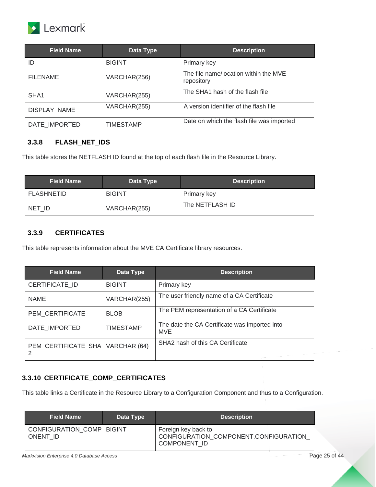

| <b>Field Name</b>   | Data Type        | <b>Description</b>                                  |
|---------------------|------------------|-----------------------------------------------------|
| ID                  | <b>BIGINT</b>    | Primary key                                         |
| <b>FILENAME</b>     | VARCHAR(256)     | The file name/location within the MVE<br>repository |
| SHA <sub>1</sub>    | VARCHAR(255)     | The SHA1 hash of the flash file                     |
| <b>DISPLAY NAME</b> | VARCHAR(255)     | A version identifier of the flash file              |
| DATE IMPORTED       | <b>TIMESTAMP</b> | Date on which the flash file was imported           |

#### <span id="page-24-0"></span>**3.3.8 FLASH\_NET\_IDS**

This table stores the NETFLASH ID found at the top of each flash file in the Resource Library.

| <b>Field Name</b> | Data Type     | <b>Description</b> |
|-------------------|---------------|--------------------|
| <b>FLASHNETID</b> | <b>BIGINT</b> | Primary key        |
| NET ID            | VARCHAR(255)  | The NETFLASH ID    |

#### <span id="page-24-1"></span>**3.3.9 CERTIFICATES**

This table represents information about the MVE CA Certificate library resources.

| <b>Field Name</b>        | Data Type        | <b>Description</b>                                          |
|--------------------------|------------------|-------------------------------------------------------------|
| <b>CERTIFICATE ID</b>    | <b>BIGINT</b>    | Primary key                                                 |
| <b>NAME</b>              | VARCHAR(255)     | The user friendly name of a CA Certificate                  |
| PEM CERTIFICATE          | <b>BLOB</b>      | The PEM representation of a CA Certificate                  |
| DATE_IMPORTED            | <b>TIMESTAMP</b> | The date the CA Certificate was imported into<br><b>MVE</b> |
| PEM_CERTIFICATE_SHA<br>2 | VARCHAR (64)     | SHA2 hash of this CA Certificate                            |

#### <span id="page-24-2"></span>**3.3.10 CERTIFICATE\_COMP\_CERTIFICATES**

This table links a Certificate in the Resource Library to a Configuration Component and thus to a Configuration.

| <b>Field Name</b>                     | Data Type | <b>Description</b>                                                                  |
|---------------------------------------|-----------|-------------------------------------------------------------------------------------|
| CONFIGURATION COMP BIGINT<br>ONENT ID |           | Foreign key back to<br>CONFIGURATION_COMPONENT.CONFIGURATION<br><b>COMPONENT ID</b> |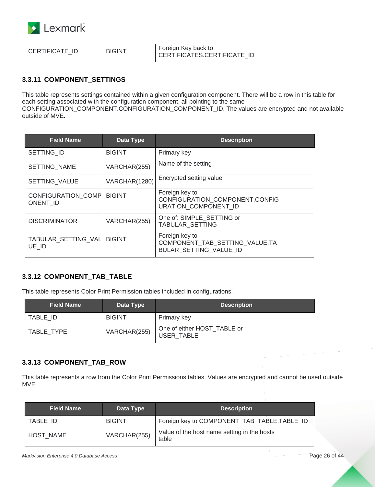

#### <span id="page-25-0"></span>**3.3.11 COMPONENT\_SETTINGS**

This table represents settings contained within a given configuration component. There will be a row in this table for each setting associated with the configuration component, all pointing to the same CONFIGURATION\_COMPONENT.CONFIGURATION\_COMPONENT\_ID. The values are encrypted and not available outside of MVE.

| <b>Field Name</b>              | Data Type     | <b>Description</b>                                                         |
|--------------------------------|---------------|----------------------------------------------------------------------------|
| SETTING ID                     | <b>BIGINT</b> | Primary key                                                                |
| <b>SETTING NAME</b>            | VARCHAR(255)  | Name of the setting                                                        |
| <b>SETTING VALUE</b>           | VARCHAR(1280) | Encrypted setting value                                                    |
| CONFIGURATION COMP<br>ONENT ID | <b>BIGINT</b> | Foreign key to<br>CONFIGURATION_COMPONENT.CONFIG<br>URATION COMPONENT ID   |
| <b>DISCRIMINATOR</b>           | VARCHAR(255)  | One of: SIMPLE SETTING or<br><b>TABULAR SETTING</b>                        |
| TABULAR SETTING VAL<br>UE ID   | <b>BIGINT</b> | Foreign key to<br>COMPONENT TAB SETTING VALUE.TA<br>BULAR SETTING VALUE ID |

#### <span id="page-25-1"></span>**3.3.12 COMPONENT\_TAB\_TABLE**

This table represents Color Print Permission tables included in configurations.

| <b>Field Name</b> | Data Type     | <b>Description</b>                        |
|-------------------|---------------|-------------------------------------------|
| TABLE ID          | <b>BIGINT</b> | Primary key                               |
| TABLE TYPE        | VARCHAR(255)  | One of either HOST TABLE or<br>USER TABLE |

#### <span id="page-25-2"></span>**3.3.13 COMPONENT\_TAB\_ROW**

This table represents a row from the Color Print Permissions tables. Values are encrypted and cannot be used outside MVE.

| <b>Field Name</b> | Data Type     | <b>Description</b>                                   |
|-------------------|---------------|------------------------------------------------------|
| TABLE ID          | <b>BIGINT</b> | Foreign key to COMPONENT_TAB_TABLE.TABLE_ID          |
| <b>HOST NAME</b>  | VARCHAR(255)  | Value of the host name setting in the hosts<br>table |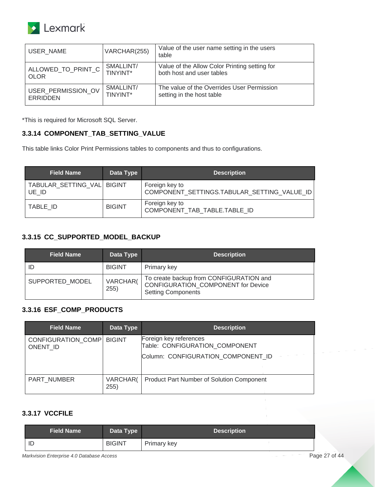

| USER NAME          | VARCHAR(255) | Value of the user name setting in the users<br>table |
|--------------------|--------------|------------------------------------------------------|
| ALLOWED_TO_PRINT_C | SMALLINT/    | Value of the Allow Color Printing setting for        |
| <b>OLOR</b>        | TINYINT*     | both host and user tables                            |
| USER PERMISSION OV | SMALLINT/    | The value of the Overrides User Permission           |
| ERRIDDEN           | TINYINT*     | setting in the host table                            |

#### <span id="page-26-0"></span>**3.3.14 COMPONENT\_TAB\_SETTING\_VALUE**

This table links Color Print Permissions tables to components and thus to configurations.

| <b>Field Name</b>                   | Data Type     | <b>Description</b>                                            |
|-------------------------------------|---------------|---------------------------------------------------------------|
| TABULAR SETTING VAL BIGINT<br>UE ID |               | Foreign key to<br>COMPONENT_SETTINGS.TABULAR_SETTING_VALUE_ID |
| TABLE ID                            | <b>BIGINT</b> | Foreign key to<br>COMPONENT TAB TABLE.TABLE ID                |

#### <span id="page-26-1"></span>**3.3.15 CC\_SUPPORTED\_MODEL\_BACKUP**

| <b>Field Name</b> | Data Type        | <b>Description</b>                                                                                                |
|-------------------|------------------|-------------------------------------------------------------------------------------------------------------------|
| ID                | <b>BIGINT</b>    | Primary key                                                                                                       |
| SUPPORTED MODEL   | VARCHAR(<br>255) | To create backup from CONFIGURATION and<br><b>CONFIGURATION COMPONENT for Device</b><br><b>Setting Components</b> |

#### <span id="page-26-2"></span>**3.3.16 ESF\_COMP\_PRODUCTS**

| <b>Field Name</b>                     | Data Type        | <b>Description</b>                                       |
|---------------------------------------|------------------|----------------------------------------------------------|
| <b>CONFIGURATION COMP</b><br>ONENT ID | <b>BIGINT</b>    | Foreign key references<br>Table: CONFIGURATION_COMPONENT |
|                                       |                  | Column: CONFIGURATION COMPONENT ID                       |
| PART NUMBER                           | VARCHAR(<br>255) | Product Part Number of Solution Component                |

#### <span id="page-26-3"></span>**3.3.17 VCCFILE**

| <b>Field Name</b> | Data Type     | <b>Description</b> |
|-------------------|---------------|--------------------|
| ID                | <b>BIGINT</b> | Primary key        |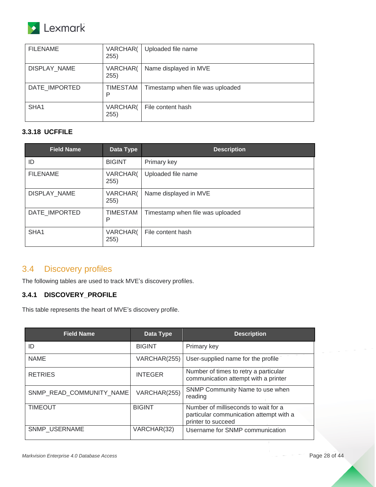

| <b>FILENAME</b>     | VARCHAR(<br>255) | Uploaded file name               |
|---------------------|------------------|----------------------------------|
| <b>DISPLAY NAME</b> | VARCHAR(<br>255) | Name displayed in MVE            |
| DATE IMPORTED       | TIMESTAM<br>P    | Timestamp when file was uploaded |
| SHA1                | VARCHAR(<br>255) | File content hash                |

#### <span id="page-27-0"></span>**3.3.18 UCFFILE**

| <b>Field Name</b> | Data Type            | <b>Description</b>               |
|-------------------|----------------------|----------------------------------|
| ID                | <b>BIGINT</b>        | Primary key                      |
| <b>FILENAME</b>   | VARCHAR(<br>255)     | Uploaded file name               |
| DISPLAY_NAME      | VARCHAR(<br>255)     | Name displayed in MVE            |
| DATE IMPORTED     | <b>TIMESTAM</b><br>P | Timestamp when file was uploaded |
| SHA <sub>1</sub>  | VARCHAR(<br>255)     | File content hash                |

## <span id="page-27-1"></span>3.4 Discovery profiles

The following tables are used to track MVE's discovery profiles.

#### <span id="page-27-2"></span>**3.4.1 DISCOVERY\_PROFILE**

This table represents the heart of MVE's discovery profile.

| <b>Field Name</b>        | Data Type      | <b>Description</b>                                                                                    |
|--------------------------|----------------|-------------------------------------------------------------------------------------------------------|
| ID                       | <b>BIGINT</b>  | Primary key                                                                                           |
| <b>NAME</b>              | VARCHAR(255)   | User-supplied name for the profile                                                                    |
| <b>RETRIES</b>           | <b>INTEGER</b> | Number of times to retry a particular<br>communication attempt with a printer                         |
| SNMP READ COMMUNITY NAME | VARCHAR(255)   | SNMP Community Name to use when<br>reading                                                            |
| <b>TIMEOUT</b>           | <b>BIGINT</b>  | Number of milliseconds to wait for a<br>particular communication attempt with a<br>printer to succeed |
| <b>SNMP USERNAME</b>     | VARCHAR(32)    | Username for SNMP communication                                                                       |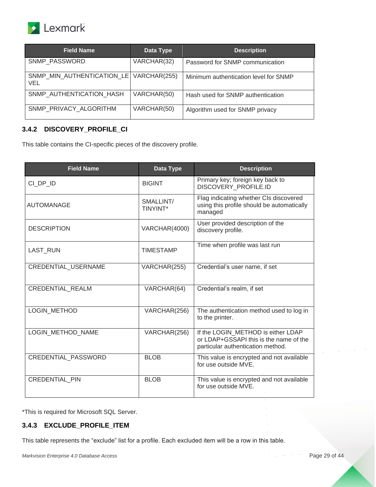

| <b>Field Name</b>                                | Data Type   | <b>Description</b>                    |
|--------------------------------------------------|-------------|---------------------------------------|
| <b>SNMP PASSWORD</b>                             | VARCHAR(32) | Password for SNMP communication       |
| SNMP_MIN_AUTHENTICATION_LE   VARCHAR(255)<br>VEL |             | Minimum authentication level for SNMP |
| SNMP AUTHENTICATION_HASH                         | VARCHAR(50) | Hash used for SNMP authentication     |
| SNMP PRIVACY ALGORITHM                           | VARCHAR(50) | Algorithm used for SNMP privacy       |

### <span id="page-28-0"></span>**3.4.2 DISCOVERY\_PROFILE\_CI**

This table contains the CI-specific pieces of the discovery profile.

| <b>Field Name</b>          | Data Type             | <b>Description</b>                                                                                                |
|----------------------------|-----------------------|-------------------------------------------------------------------------------------------------------------------|
| CI DP ID                   | <b>BIGINT</b>         | Primary key; foreign key back to<br>DISCOVERY PROFILE.ID                                                          |
| <b>AUTOMANAGE</b>          | SMALLINT/<br>TINYINT* | Flag indicating whether CIs discovered<br>using this profile should be automatically<br>managed                   |
| <b>DESCRIPTION</b>         | VARCHAR(4000)         | User provided description of the<br>discovery profile.                                                            |
| LAST_RUN                   | <b>TIMESTAMP</b>      | Time when profile was last run                                                                                    |
| CREDENTIAL USERNAME        | VARCHAR(255)          | Credential's user name, if set                                                                                    |
| <b>CREDENTIAL REALM</b>    | VARCHAR(64)           | Credential's realm, if set                                                                                        |
| <b>LOGIN METHOD</b>        | VARCHAR(256)          | The authentication method used to log in<br>to the printer.                                                       |
| LOGIN METHOD NAME          | VARCHAR(256)          | If the LOGIN METHOD is either LDAP<br>or LDAP+GSSAPI this is the name of the<br>particular authentication method. |
| <b>CREDENTIAL PASSWORD</b> | <b>BLOB</b>           | This value is encrypted and not available<br>for use outside MVE.                                                 |
| <b>CREDENTIAL PIN</b>      | <b>BLOB</b>           | This value is encrypted and not available<br>for use outside MVE.                                                 |

\*This is required for Microsoft SQL Server.

#### <span id="page-28-1"></span>**3.4.3 EXCLUDE\_PROFILE\_ITEM**

This table represents the "exclude" list for a profile. Each excluded item will be a row in this table.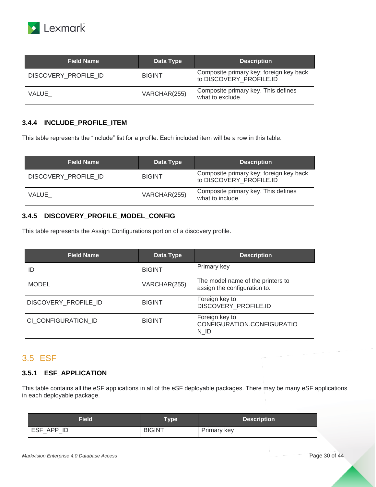

| <b>Field Name</b>    | Data Type     | <b>Description</b>                                                 |
|----------------------|---------------|--------------------------------------------------------------------|
| DISCOVERY_PROFILE_ID | <b>BIGINT</b> | Composite primary key; foreign key back<br>to DISCOVERY PROFILE.ID |
| VALUE                | VARCHAR(255)  | Composite primary key. This defines<br>what to exclude.            |

#### <span id="page-29-0"></span>**3.4.4 INCLUDE\_PROFILE\_ITEM**

This table represents the "include" list for a profile. Each included item will be a row in this table.

| <b>Field Name</b>    | Data Type     | <b>Description</b>                                                 |
|----------------------|---------------|--------------------------------------------------------------------|
| DISCOVERY PROFILE ID | <b>BIGINT</b> | Composite primary key; foreign key back<br>to DISCOVERY PROFILE.ID |
| VALUE                | VARCHAR(255)  | Composite primary key. This defines<br>what to include.            |

#### <span id="page-29-1"></span>**3.4.5 DISCOVERY\_PROFILE\_MODEL\_CONFIG**

This table represents the Assign Configurations portion of a discovery profile.

| <b>Field Name</b>    | Data Type     | <b>Description</b>                                                |
|----------------------|---------------|-------------------------------------------------------------------|
| ID                   | <b>BIGINT</b> | Primary key                                                       |
| <b>MODEL</b>         | VARCHAR(255)  | The model name of the printers to<br>assign the configuration to. |
| DISCOVERY PROFILE ID | <b>BIGINT</b> | Foreign key to<br>DISCOVERY_PROFILE.ID                            |
| CI CONFIGURATION ID  | <b>BIGINT</b> | Foreign key to<br>CONFIGURATION.CONFIGURATIO<br>N ID              |

## <span id="page-29-2"></span>3.5 ESF

#### <span id="page-29-3"></span>**3.5.1 ESF\_APPLICATION**

This table contains all the eSF applications in all of the eSF deployable packages. There may be many eSF applications in each deployable package.

| Field         | <b>Type</b>   | <b>Description</b> |
|---------------|---------------|--------------------|
| APP ID<br>ESF | <b>BIGINT</b> | Primary key        |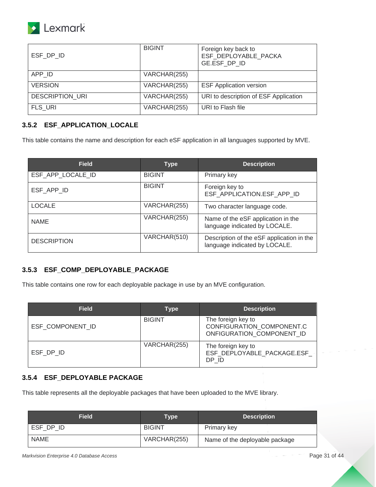

| ESF DP ID              | <b>BIGINT</b> | Foreign key back to<br>ESF_DEPLOYABLE_PACKA<br>GE.ESF DP ID |
|------------------------|---------------|-------------------------------------------------------------|
| APP ID                 | VARCHAR(255)  |                                                             |
| <b>VERSION</b>         | VARCHAR(255)  | <b>ESF Application version</b>                              |
| <b>DESCRIPTION URI</b> | VARCHAR(255)  | URI to description of ESF Application                       |
| <b>FLS URI</b>         | VARCHAR(255)  | URI to Flash file                                           |

#### <span id="page-30-0"></span>**3.5.2 ESF\_APPLICATION\_LOCALE**

This table contains the name and description for each eSF application in all languages supported by MVE.

| <b>Field</b>       | <b>Type</b>   | <b>Description</b>                                                         |
|--------------------|---------------|----------------------------------------------------------------------------|
| ESF_APP_LOCALE_ID  | <b>BIGINT</b> | Primary key                                                                |
| ESF APP ID         | <b>BIGINT</b> | Foreign key to<br>ESF_APPLICATION.ESF_APP_ID                               |
| <b>LOCALE</b>      | VARCHAR(255)  | Two character language code.                                               |
| <b>NAME</b>        | VARCHAR(255)  | Name of the eSF application in the<br>language indicated by LOCALE.        |
| <b>DESCRIPTION</b> | VARCHAR(510)  | Description of the eSF application in the<br>language indicated by LOCALE. |

#### <span id="page-30-1"></span>**3.5.3 ESF\_COMP\_DEPLOYABLE\_PACKAGE**

This table contains one row for each deployable package in use by an MVE configuration.

| <b>Field</b>     | Type          | <b>Description</b>                                                           |
|------------------|---------------|------------------------------------------------------------------------------|
| ESF COMPONENT ID | <b>BIGINT</b> | The foreign key to<br>CONFIGURATION COMPONENT.C<br>ONFIGURATION COMPONENT ID |
| ESF DP ID        | VARCHAR(255)  | The foreign key to<br>ESF DEPLOYABLE PACKAGE.ESF<br>DP ID                    |

#### <span id="page-30-2"></span>**3.5.4 ESF\_DEPLOYABLE PACKAGE**

This table represents all the deployable packages that have been uploaded to the MVE library.

| <b>Field</b> | <b>Type</b>   | <b>Description</b>             |
|--------------|---------------|--------------------------------|
| ESF DP ID    | <b>BIGINT</b> | Primary key                    |
| <b>NAME</b>  | VARCHAR(255)  | Name of the deployable package |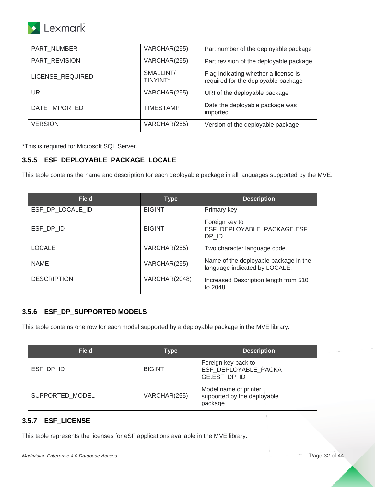

| PART_NUMBER      | VARCHAR(255)          | Part number of the deployable package                                       |
|------------------|-----------------------|-----------------------------------------------------------------------------|
| PART REVISION    | VARCHAR(255)          | Part revision of the deployable package                                     |
| LICENSE_REQUIRED | SMALLINT/<br>TINYINT* | Flag indicating whether a license is<br>required for the deployable package |
| URI              | VARCHAR(255)          | URI of the deployable package                                               |
| DATE IMPORTED    | <b>TIMESTAMP</b>      | Date the deployable package was<br>imported                                 |
| <b>VERSION</b>   | VARCHAR(255)          | Version of the deployable package                                           |

#### <span id="page-31-0"></span>**3.5.5 ESF\_DEPLOYABLE\_PACKAGE\_LOCALE**

This table contains the name and description for each deployable package in all languages supported by the MVE.

| <b>Field</b>       | <b>Type</b>   | <b>Description</b>                                                     |
|--------------------|---------------|------------------------------------------------------------------------|
| ESF_DP_LOCALE_ID   | <b>BIGINT</b> | Primary key                                                            |
| ESF DP ID          | <b>BIGINT</b> | Foreign key to<br>ESF_DEPLOYABLE_PACKAGE.ESF_<br>DP ID                 |
| <b>LOCALE</b>      | VARCHAR(255)  | Two character language code.                                           |
| <b>NAME</b>        | VARCHAR(255)  | Name of the deployable package in the<br>language indicated by LOCALE. |
| <b>DESCRIPTION</b> | VARCHAR(2048) | Increased Description length from 510<br>to 2048                       |

#### <span id="page-31-1"></span>**3.5.6 ESF\_DP\_SUPPORTED MODELS**

This table contains one row for each model supported by a deployable package in the MVE library.

| <b>Field</b>    | <b>Type</b>   | <b>Description</b>                                              |
|-----------------|---------------|-----------------------------------------------------------------|
| ESF DP ID       | <b>BIGINT</b> | Foreign key back to<br>ESF DEPLOYABLE PACKA<br>GE.ESF DP ID     |
| SUPPORTED MODEL | VARCHAR(255)  | Model name of printer<br>supported by the deployable<br>package |

#### <span id="page-31-2"></span>**3.5.7 ESF\_LICENSE**

This table represents the licenses for eSF applications available in the MVE library.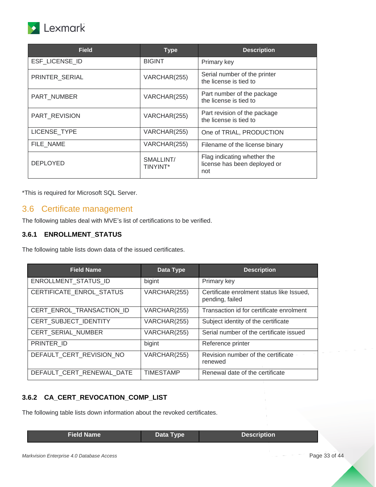

| <b>Field</b>        | <b>Type</b>                  | <b>Description</b>                                                 |
|---------------------|------------------------------|--------------------------------------------------------------------|
| ESF LICENSE ID      | <b>BIGINT</b>                | Primary key                                                        |
| PRINTER_SERIAL      | VARCHAR(255)                 | Serial number of the printer<br>the license is tied to             |
| PART NUMBER         | VARCHAR(255)                 | Part number of the package<br>the license is tied to               |
| PART REVISION       | VARCHAR(255)                 | Part revision of the package<br>the license is tied to             |
| <b>LICENSE TYPE</b> | VARCHAR(255)                 | One of TRIAL, PRODUCTION                                           |
| FILE_NAME           | VARCHAR(255)                 | Filename of the license binary                                     |
| <b>DEPLOYED</b>     | SMALLINT/<br><b>TINYINT*</b> | Flag indicating whether the<br>license has been deployed or<br>not |

## <span id="page-32-0"></span>3.6 Certificate management

The following tables deal with MVE's list of certifications to be verified.

### <span id="page-32-1"></span>**3.6.1 ENROLLMENT\_STATUS**

The following table lists down data of the issued certificates.

| <b>Field Name</b>           | Data Type        | <b>Description</b>                                           |
|-----------------------------|------------------|--------------------------------------------------------------|
| <b>ENROLLMENT STATUS ID</b> | bigint           | Primary key                                                  |
| CERTIFICATE ENROL STATUS    | VARCHAR(255)     | Certificate enrolment status like Issued,<br>pending, failed |
| CERT ENROL TRANSACTION ID   | VARCHAR(255)     | Transaction id for certificate enrolment                     |
| CERT SUBJECT IDENTITY       | VARCHAR(255)     | Subject identity of the certificate                          |
| <b>CERT SERIAL NUMBER</b>   | VARCHAR(255)     | Serial number of the certificate issued                      |
| PRINTER ID                  | bigint           | Reference printer                                            |
| DEFAULT_CERT_REVISION_NO    | VARCHAR(255)     | Revision number of the certificate<br>renewed                |
| DEFAULT CERT RENEWAL DATE   | <b>TIMESTAMP</b> | Renewal date of the certificate                              |

#### <span id="page-32-2"></span>**3.6.2 CA\_CERT\_REVOCATION\_COMP\_LIST**

The following table lists down information about the revoked certificates.

| <b>Field Name</b> | Data Type | <b>Description</b> |
|-------------------|-----------|--------------------|
|                   |           |                    |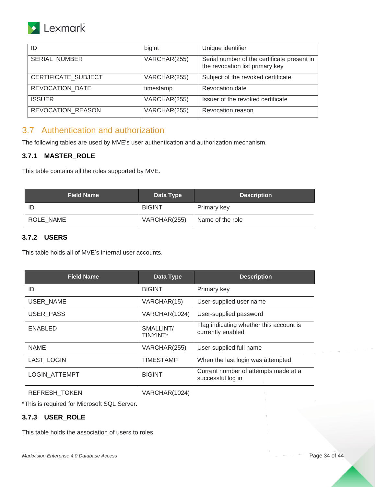## Lexmark

| ID                   | bigint       | Unique identifier                                                              |
|----------------------|--------------|--------------------------------------------------------------------------------|
| <b>SERIAL NUMBER</b> | VARCHAR(255) | Serial number of the certificate present in<br>the revocation list primary key |
| CERTIFICATE_SUBJECT  | VARCHAR(255) | Subject of the revoked certificate                                             |
| REVOCATION DATE      | timestamp    | <b>Revocation date</b>                                                         |
| <b>ISSUER</b>        | VARCHAR(255) | Issuer of the revoked certificate                                              |
| REVOCATION REASON    | VARCHAR(255) | Revocation reason                                                              |

## <span id="page-33-0"></span>3.7 Authentication and authorization

The following tables are used by MVE's user authentication and authorization mechanism.

#### <span id="page-33-1"></span>**3.7.1 MASTER\_ROLE**

This table contains all the roles supported by MVE.

| <b>Field Name</b> | Data Type     | <b>Description</b> |
|-------------------|---------------|--------------------|
|                   | <b>BIGINT</b> | Primary key        |
| ROLE NAME         | VARCHAR(255)  | Name of the role   |

#### <span id="page-33-2"></span>**3.7.2 USERS**

This table holds all of MVE's internal user accounts.

| <b>Field Name</b>    | Data Type                    | <b>Description</b>                                           |
|----------------------|------------------------------|--------------------------------------------------------------|
| ID                   | <b>BIGINT</b>                | Primary key                                                  |
| USER_NAME            | VARCHAR(15)                  | User-supplied user name                                      |
| USER_PASS            | VARCHAR(1024)                | User-supplied password                                       |
| <b>ENABLED</b>       | SMALLINT/<br><b>TINYINT*</b> | Flag indicating whether this account is<br>currently enabled |
| <b>NAME</b>          | VARCHAR(255)                 | User-supplied full name                                      |
| <b>LAST LOGIN</b>    | <b>TIMESTAMP</b>             | When the last login was attempted                            |
| <b>LOGIN ATTEMPT</b> | <b>BIGINT</b>                | Current number of attempts made at a<br>successful log in    |
| <b>REFRESH TOKEN</b> | VARCHAR(1024)                |                                                              |

\*This is required for Microsoft SQL Server.

## <span id="page-33-3"></span>**3.7.3 USER\_ROLE**

This table holds the association of users to roles.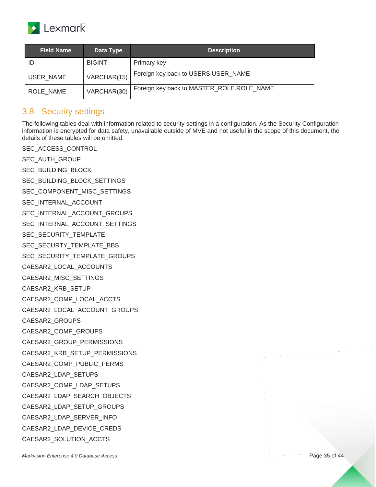

| <b>Field Name</b> | Data Type     | <b>Description</b>                        |
|-------------------|---------------|-------------------------------------------|
| ID                | <b>BIGINT</b> | Primary key                               |
| USER NAME         | VARCHAR(15)   | Foreign key back to USERS.USER_NAME       |
| ROLE NAME         | VARCHAR(30)   | Foreign key back to MASTER_ROLE.ROLE_NAME |

## <span id="page-34-0"></span>3.8 Security settings

The following tables deal with information related to security settings in a configuration. As the Security Configuration information is encrypted for data safety, unavailable outside of MVE and not useful in the scope of this document, the details of these tables will be omitted.

*Markvision Enterprise 4.0 Database Access* Page 35 of 44 SEC ACCESS CONTROL SEC\_AUTH\_GROUP SEC\_BUILDING\_BLOCK SEC\_BUILDING\_BLOCK\_SETTINGS SEC\_COMPONENT\_MISC\_SETTINGS SEC\_INTERNAL\_ACCOUNT SEC\_INTERNAL\_ACCOUNT\_GROUPS SEC\_INTERNAL\_ACCOUNT\_SETTINGS SEC\_SECURITY\_TEMPLATE SEC\_SECURTY\_TEMPLATE\_BBS SEC\_SECURITY\_TEMPLATE\_GROUPS CAESAR2\_LOCAL\_ACCOUNTS CAESAR2\_MISC\_SETTINGS CAESAR2\_KRB\_SETUP CAESAR2\_COMP\_LOCAL\_ACCTS CAESAR2\_LOCAL\_ACCOUNT\_GROUPS CAESAR2\_GROUPS CAESAR2\_COMP\_GROUPS CAESAR2\_GROUP\_PERMISSIONS CAESAR2\_KRB\_SETUP\_PERMISSIONS CAESAR2\_COMP\_PUBLIC\_PERMS CAESAR2\_LDAP\_SETUPS CAESAR2\_COMP\_LDAP\_SETUPS CAESAR2\_LDAP\_SEARCH\_OBJECTS CAESAR2\_LDAP\_SETUP\_GROUPS CAESAR2\_LDAP\_SERVER\_INFO CAESAR2\_LDAP\_DEVICE\_CREDS CAESAR2\_SOLUTION\_ACCTS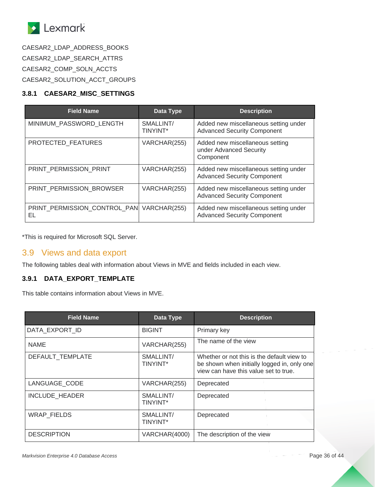

CAESAR2\_LDAP\_ADDRESS\_BOOKS CAESAR2\_LDAP\_SEARCH\_ATTRS CAESAR2\_COMP\_SOLN\_ACCTS CAESAR2\_SOLUTION\_ACCT\_GROUPS

#### <span id="page-35-0"></span>**3.8.1 CAESAR2\_MISC\_SETTINGS**

| <b>Field Name</b>                               | Data Type                    | <b>Description</b>                                                          |
|-------------------------------------------------|------------------------------|-----------------------------------------------------------------------------|
| MINIMUM PASSWORD LENGTH                         | SMALLINT/<br><b>TINYINT*</b> | Added new miscellaneous setting under<br><b>Advanced Security Component</b> |
| PROTECTED FEATURES                              | VARCHAR(255)                 | Added new miscellaneous setting<br>under Advanced Security<br>Component     |
| PRINT PERMISSION PRINT                          | VARCHAR(255)                 | Added new miscellaneous setting under<br><b>Advanced Security Component</b> |
| PRINT_PERMISSION_BROWSER                        | VARCHAR(255)                 | Added new miscellaneous setting under<br><b>Advanced Security Component</b> |
| PRINT_PERMISSION_CONTROL_PAN VARCHAR(255)<br>EL |                              | Added new miscellaneous setting under<br><b>Advanced Security Component</b> |

\*This is required for Microsoft SQL Server.

## <span id="page-35-1"></span>3.9 Views and data export

The following tables deal with information about Views in MVE and fields included in each view.

#### <span id="page-35-2"></span>**3.9.1 DATA\_EXPORT\_TEMPLATE**

This table contains information about Views in MVE.

| <b>Field Name</b>  | Data Type                    | <b>Description</b>                                                                                                                 |
|--------------------|------------------------------|------------------------------------------------------------------------------------------------------------------------------------|
| DATA EXPORT ID     | <b>BIGINT</b>                | Primary key                                                                                                                        |
| <b>NAME</b>        | VARCHAR(255)                 | The name of the view                                                                                                               |
| DEFAULT_TEMPLATE   | SMALLINT/<br><b>TINYINT*</b> | Whether or not this is the default view to<br>be shown when initially logged in, only one<br>view can have this value set to true. |
| LANGUAGE CODE      | VARCHAR(255)                 | Deprecated                                                                                                                         |
| INCLUDE_HEADER     | SMALLINT/<br><b>TINYINT*</b> | Deprecated                                                                                                                         |
| <b>WRAP FIELDS</b> | SMALLINT/<br>TINYINT*        | Deprecated                                                                                                                         |
| <b>DESCRIPTION</b> | VARCHAR(4000)                | The description of the view                                                                                                        |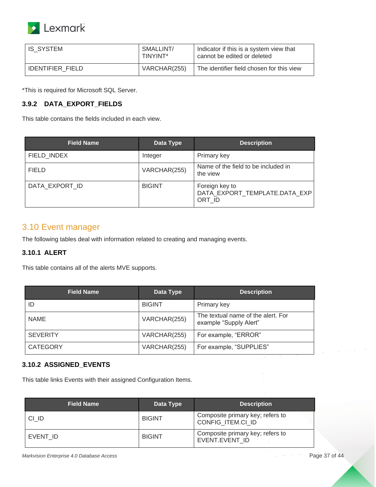

| IS SYSTEM               | SMALLINT/<br>TINYINT* | Indicator if this is a system view that<br>cannot be edited or deleted |
|-------------------------|-----------------------|------------------------------------------------------------------------|
| <b>IDENTIFIER FIELD</b> | VARCHAR(255)          | The identifier field chosen for this view                              |

#### <span id="page-36-0"></span>**3.9.2 DATA\_EXPORT\_FIELDS**

This table contains the fields included in each view.

| <b>Field Name</b> | Data Type     | <b>Description</b>                                        |
|-------------------|---------------|-----------------------------------------------------------|
| FIELD_INDEX       | Integer       | Primary key                                               |
| <b>FIELD</b>      | VARCHAR(255)  | Name of the field to be included in<br>the view           |
| DATA EXPORT ID    | <b>BIGINT</b> | Foreign key to<br>DATA_EXPORT_TEMPLATE.DATA_EXP<br>ORT ID |

### <span id="page-36-1"></span>3.10 Event manager

The following tables deal with information related to creating and managing events.

#### <span id="page-36-2"></span>**3.10.1 ALERT**

This table contains all of the alerts MVE supports.

| <b>Field Name</b> | Data Type     | <b>Description</b>                                           |
|-------------------|---------------|--------------------------------------------------------------|
| ID                | <b>BIGINT</b> | Primary key                                                  |
| <b>NAME</b>       | VARCHAR(255)  | The textual name of the alert. For<br>example "Supply Alert" |
| <b>SEVERITY</b>   | VARCHAR(255)  | For example, "ERROR"                                         |
| <b>CATEGORY</b>   | VARCHAR(255)  | For example, "SUPPLIES"                                      |

#### <span id="page-36-3"></span>**3.10.2 ASSIGNED\_EVENTS**

This table links Events with their assigned Configuration Items.

| <b>Field Name</b> | Data Type     | <b>Description</b>                                    |
|-------------------|---------------|-------------------------------------------------------|
| CI ID             | <b>BIGINT</b> | Composite primary key; refers to<br>CONFIG ITEM.CI ID |
| EVENT ID          | <b>BIGINT</b> | Composite primary key; refers to<br>EVENT.EVENT ID    |

*Markvision Enterprise 4.0 Database Access* Page 37 of 44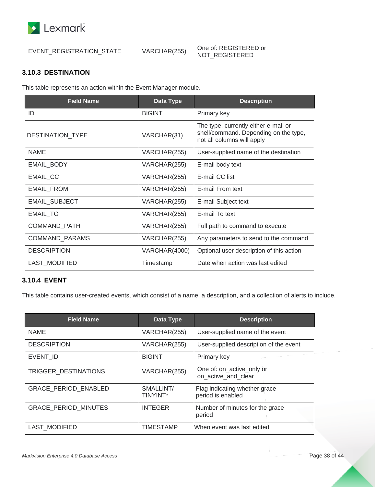

| EVENT REGISTRATION STATE | VARCHAR(255) | One of: REGISTERED or<br>NOT REGISTERED |
|--------------------------|--------------|-----------------------------------------|
|--------------------------|--------------|-----------------------------------------|

#### <span id="page-37-0"></span>**3.10.3 DESTINATION**

This table represents an action within the Event Manager module.

| <b>Field Name</b>       | Data Type     | <b>Description</b>                                                                                          |
|-------------------------|---------------|-------------------------------------------------------------------------------------------------------------|
| ID                      | <b>BIGINT</b> | Primary key                                                                                                 |
| <b>DESTINATION TYPE</b> | VARCHAR(31)   | The type, currently either e-mail or<br>shell/command. Depending on the type,<br>not all columns will apply |
| <b>NAME</b>             | VARCHAR(255)  | User-supplied name of the destination                                                                       |
| EMAIL_BODY              | VARCHAR(255)  | E-mail body text                                                                                            |
| EMAIL CC                | VARCHAR(255)  | E-mail CC list                                                                                              |
| <b>EMAIL FROM</b>       | VARCHAR(255)  | E-mail From text                                                                                            |
| EMAIL_SUBJECT           | VARCHAR(255)  | E-mail Subject text                                                                                         |
| EMAIL_TO                | VARCHAR(255)  | E-mail To text                                                                                              |
| COMMAND_PATH            | VARCHAR(255)  | Full path to command to execute                                                                             |
| COMMAND_PARAMS          | VARCHAR(255)  | Any parameters to send to the command                                                                       |
| <b>DESCRIPTION</b>      | VARCHAR(4000) | Optional user description of this action                                                                    |
| <b>LAST MODIFIED</b>    | Timestamp     | Date when action was last edited                                                                            |

#### <span id="page-37-1"></span>**3.10.4 EVENT**

This table contains user-created events, which consist of a name, a description, and a collection of alerts to include.

| <b>Field Name</b>           | Data Type                    | <b>Description</b>                                 |
|-----------------------------|------------------------------|----------------------------------------------------|
| <b>NAME</b>                 | VARCHAR(255)                 | User-supplied name of the event                    |
| <b>DESCRIPTION</b>          | VARCHAR(255)                 | User-supplied description of the event             |
| EVENT ID                    | <b>BIGINT</b>                | Primary key                                        |
| TRIGGER DESTINATIONS        | VARCHAR(255)                 | One of: on_active_only or<br>on active and clear   |
| <b>GRACE PERIOD ENABLED</b> | SMALLINT/<br><b>TINYINT*</b> | Flag indicating whether grace<br>period is enabled |
| <b>GRACE PERIOD MINUTES</b> | <b>INTEGER</b>               | Number of minutes for the grace<br>period          |
| LAST MODIFIED               | <b>TIMESTAMP</b>             | When event was last edited                         |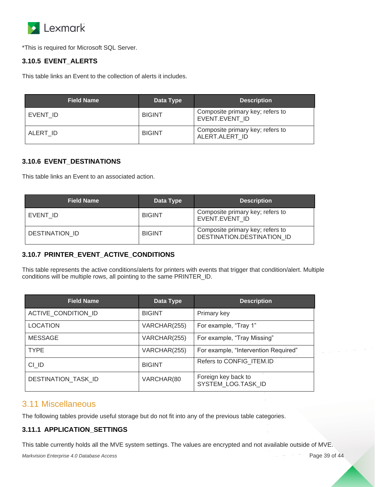

#### <span id="page-38-0"></span>**3.10.5 EVENT\_ALERTS**

This table links an Event to the collection of alerts it includes.

| <b>Field Name</b> | Data Type     | <b>Description</b>                                 |
|-------------------|---------------|----------------------------------------------------|
| EVENT ID          | <b>BIGINT</b> | Composite primary key; refers to<br>EVENT.EVENT ID |
| ALERT ID          | <b>BIGINT</b> | Composite primary key; refers to<br>ALERT.ALERT ID |

#### <span id="page-38-1"></span>**3.10.6 EVENT\_DESTINATIONS**

This table links an Event to an associated action.

| <b>Field Name</b>     | Data Type     | <b>Description</b>                                             |
|-----------------------|---------------|----------------------------------------------------------------|
| EVENT ID              | <b>BIGINT</b> | Composite primary key; refers to<br>EVENT.EVENT ID             |
| <b>DESTINATION ID</b> | <b>BIGINT</b> | Composite primary key; refers to<br>DESTINATION.DESTINATION ID |

#### <span id="page-38-2"></span>**3.10.7 PRINTER\_EVENT\_ACTIVE\_CONDITIONS**

This table represents the active conditions/alerts for printers with events that trigger that condition/alert. Multiple conditions will be multiple rows, all pointing to the same PRINTER\_ID.

| <b>Field Name</b>   | Data Type     | <b>Description</b>                        |
|---------------------|---------------|-------------------------------------------|
| ACTIVE_CONDITION_ID | <b>BIGINT</b> | Primary key                               |
| <b>LOCATION</b>     | VARCHAR(255)  | For example, "Tray 1"                     |
| <b>MESSAGE</b>      | VARCHAR(255)  | For example, "Tray Missing"               |
| <b>TYPE</b>         | VARCHAR(255)  | For example, "Intervention Required"      |
| CI ID               | <b>BIGINT</b> | Refers to CONFIG ITEM.ID                  |
| DESTINATION_TASK_ID | VARCHAR(80    | Foreign key back to<br>SYSTEM_LOG.TASK_ID |

### <span id="page-38-3"></span>3.11 Miscellaneous

The following tables provide useful storage but do not fit into any of the previous table categories.

#### <span id="page-38-4"></span>**3.11.1 APPLICATION\_SETTINGS**

This table currently holds all the MVE system settings. The values are encrypted and not available outside of MVE.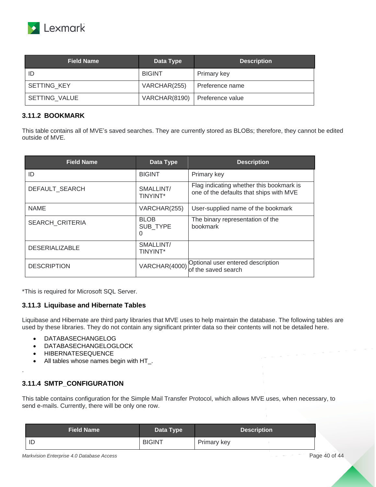

| <b>Field Name</b>  | Data Type     | <b>Description</b> |
|--------------------|---------------|--------------------|
| ID                 | <b>BIGINT</b> | Primary key        |
| <b>SETTING KEY</b> | VARCHAR(255)  | Preference name    |
| SETTING VALUE      | VARCHAR(8190) | Preference value   |

#### <span id="page-39-0"></span>**3.11.2 BOOKMARK**

This table contains all of MVE's saved searches. They are currently stored as BLOBs; therefore, they cannot be edited outside of MVE.

| <b>Field Name</b>      | Data Type                    | <b>Description</b>                                                                  |
|------------------------|------------------------------|-------------------------------------------------------------------------------------|
| ID                     | <b>BIGINT</b>                | Primary key                                                                         |
| DEFAULT SEARCH         | SMALLINT/<br>TINYINT*        | Flag indicating whether this bookmark is<br>one of the defaults that ships with MVE |
| <b>NAME</b>            | VARCHAR(255)                 | User-supplied name of the bookmark                                                  |
| <b>SEARCH CRITERIA</b> | <b>BLOB</b><br>SUB TYPE<br>0 | The binary representation of the<br><b>bookmark</b>                                 |
| <b>DESERIALIZABLE</b>  | SMALLINT/<br>TINYINT*        |                                                                                     |
| <b>DESCRIPTION</b>     | VARCHAR(4000)                | Optional user entered description<br>of the saved search                            |

\*This is required for Microsoft SQL Server.

#### <span id="page-39-1"></span>**3.11.3 Liquibase and Hibernate Tables**

Liquibase and Hibernate are third party libraries that MVE uses to help maintain the database. The following tables are used by these libraries. They do not contain any significant printer data so their contents will not be detailed here.

- DATABASECHANGELOG
- DATABASECHANGELOGLOCK
- HIBERNATESEQUENCE
- All tables whose names begin with HT\_.

#### <span id="page-39-2"></span>**3.11.4 SMTP\_CONFIGURATION**

.

This table contains configuration for the Simple Mail Transfer Protocol, which allows MVE uses, when necessary, to send e-mails. Currently, there will be only one row.

| <b>Field Name</b> | Data Type     | <b>Description</b> |
|-------------------|---------------|--------------------|
| ID                | <b>BIGINT</b> | Primary key        |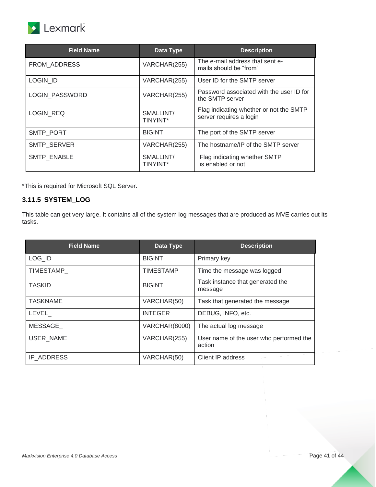

| <b>Field Name</b>  | Data Type                    | <b>Description</b>                                                 |
|--------------------|------------------------------|--------------------------------------------------------------------|
| FROM ADDRESS       | VARCHAR(255)                 | The e-mail address that sent e-<br>mails should be "from"          |
| <b>LOGIN ID</b>    | VARCHAR(255)                 | User ID for the SMTP server                                        |
| LOGIN PASSWORD     | VARCHAR(255)                 | Password associated with the user ID for<br>the SMTP server        |
| <b>LOGIN REQ</b>   | SMALLINT/<br><b>TINYINT*</b> | Flag indicating whether or not the SMTP<br>server requires a login |
| <b>SMTP PORT</b>   | <b>BIGINT</b>                | The port of the SMTP server                                        |
| <b>SMTP SERVER</b> | VARCHAR(255)                 | The hostname/IP of the SMTP server                                 |
| <b>SMTP ENABLE</b> | SMALLINT/<br>TINYINT*        | Flag indicating whether SMTP<br>is enabled or not                  |

#### <span id="page-40-0"></span>**3.11.5 SYSTEM\_LOG**

This table can get very large. It contains all of the system log messages that are produced as MVE carries out its tasks.

| <b>Field Name</b> | Data Type        | <b>Description</b>                                |
|-------------------|------------------|---------------------------------------------------|
| LOG_ID            | <b>BIGINT</b>    | Primary key                                       |
| TIMESTAMP         | <b>TIMESTAMP</b> | Time the message was logged                       |
| <b>TASKID</b>     | <b>BIGINT</b>    | Task instance that generated the<br>message       |
| <b>TASKNAME</b>   | VARCHAR(50)      | Task that generated the message                   |
| LEVEL             | <b>INTEGER</b>   | DEBUG, INFO, etc.                                 |
| MESSAGE           | VARCHAR(8000)    | The actual log message                            |
| <b>USER NAME</b>  | VARCHAR(255)     | User name of the user who performed the<br>action |
| IP ADDRESS        | VARCHAR(50)      | Client IP address                                 |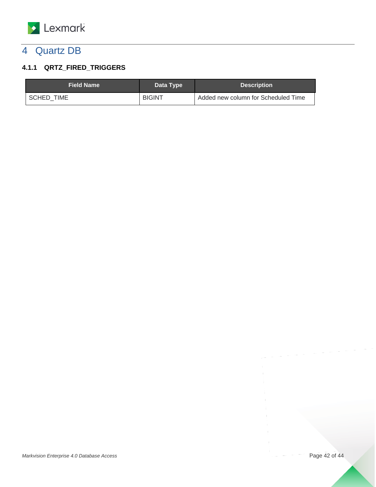

## <span id="page-41-0"></span>4 Quartz DB

## <span id="page-41-1"></span>**4.1.1 QRTZ\_FIRED\_TRIGGERS**

| <b>Field Name</b> | Data Type     | <b>Description</b>                  |
|-------------------|---------------|-------------------------------------|
| SCHED TIME        | <b>BIGINT</b> | Added new column for Scheduled Time |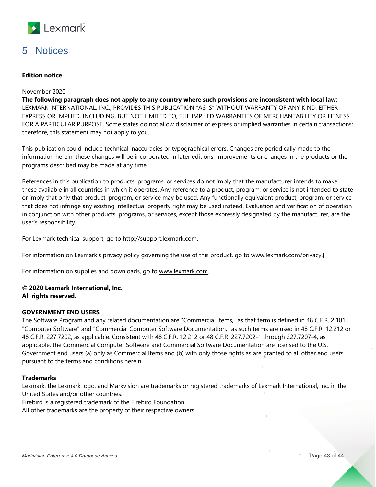

## <span id="page-42-0"></span>5 Notices

#### **Edition notice**

#### November 2020

**The following paragraph does not apply to any country where such provisions are inconsistent with local law**: LEXMARK INTERNATIONAL, INC., PROVIDES THIS PUBLICATION "AS IS" WITHOUT WARRANTY OF ANY KIND, EITHER EXPRESS OR IMPLIED, INCLUDING, BUT NOT LIMITED TO, THE IMPLIED WARRANTIES OF MERCHANTABILITY OR FITNESS FOR A PARTICULAR PURPOSE. Some states do not allow disclaimer of express or implied warranties in certain transactions; therefore, this statement may not apply to you.

This publication could include technical inaccuracies or typographical errors. Changes are periodically made to the information herein; these changes will be incorporated in later editions. Improvements or changes in the products or the programs described may be made at any time.

References in this publication to products, programs, or services do not imply that the manufacturer intends to make these available in all countries in which it operates. Any reference to a product, program, or service is not intended to state or imply that only that product, program, or service may be used. Any functionally equivalent product, program, or service that does not infringe any existing intellectual property right may be used instead. Evaluation and verification of operation in conjunction with other products, programs, or services, except those expressly designated by the manufacturer, are the user's responsibility.

For Lexmark technical support, go to http://support.lexmark.com.

For information on Lexmark's privacy policy governing the use of this product, go to www.lexmark.com/privacy.]

For information on supplies and downloads, go to www.lexmark.com.

#### **© 2020 Lexmark International, Inc. All rights reserved.**

#### **GOVERNMENT END USERS**

The Software Program and any related documentation are "Commercial Items," as that term is defined in 48 C.F.R. 2.101, "Computer Software" and "Commercial Computer Software Documentation," as such terms are used in 48 C.F.R. 12.212 or 48 C.F.R. 227.7202, as applicable. Consistent with 48 C.F.R. 12.212 or 48 C.F.R. 227.7202-1 through 227.7207-4, as applicable, the Commercial Computer Software and Commercial Software Documentation are licensed to the U.S. Government end users (a) only as Commercial Items and (b) with only those rights as are granted to all other end users pursuant to the terms and conditions herein.

#### **Trademarks**

Lexmark, the Lexmark logo, and Markvision are trademarks or registered trademarks of Lexmark International, Inc. in the United States and/or other countries.

Firebird is a registered trademark of the Firebird Foundation.

All other trademarks are the property of their respective owners.